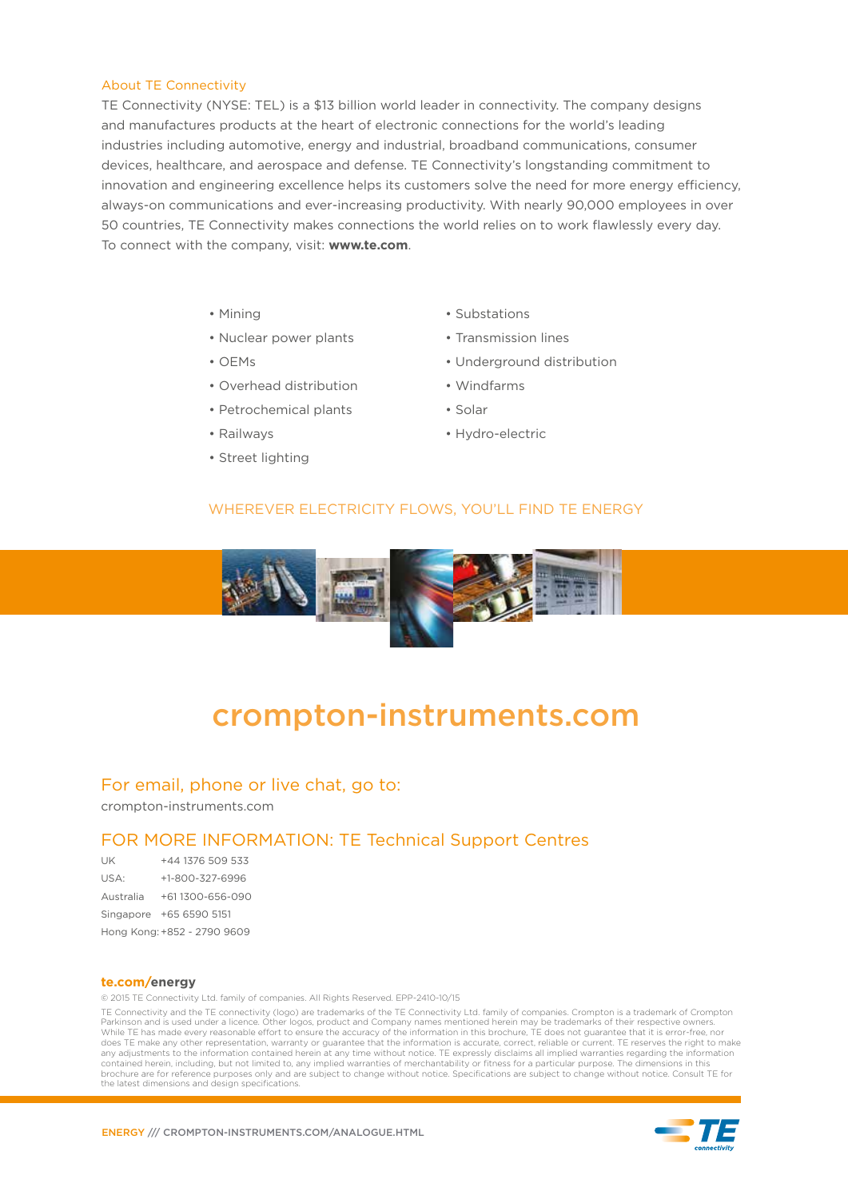#### About TE Connectivity

TE Connectivity (NYSE: TEL) is a \$13 billion world leader in connectivity. The company designs and manufactures products at the heart of electronic connections for the world's leading industries including automotive, energy and industrial, broadband communications, consumer devices, healthcare, and aerospace and defense. TE Connectivity's longstanding commitment to innovation and engineering excellence helps its customers solve the need for more energy efficiency, always-on communications and ever-increasing productivity. With nearly 90,000 employees in over 50 countries, TE Connectivity makes connections the world relies on to work flawlessly every day. To connect with the company, visit: **www.te.com**.

- Mining
- Nuclear power plants
- $\bullet$  OEMs
- Overhead distribution
- Petrochemical plants
- Railways
- Street lighting
- Substations
- Transmission lines
- Underground distribution
- Windfarms
- Solar
- Hydro-electric

#### WHEREVER ELECTRICITY FLOWS, YOU'LL FIND TE ENERGY



### crompton-instruments.com

#### For email, phone or live chat, go to:

crompton-instruments.com

#### FOR MORE INFORMATION: TE Technical Support Centres

| UK        | +44 1376 509 533            |
|-----------|-----------------------------|
| USA:      | +1-800-327-6996             |
| Australia | +611300-656-090             |
| Singapore | +65 6590 5151               |
|           | Hong Kong: +852 - 2790 9609 |

#### **te.com/energy**

© 2015 TE Connectivity Ltd. family of companies. All Rights Reserved. EPP-2410-10/15

TE Connectivity and the TE connectivity (logo) are trademarks of the TE Connectivity Ltd. family of companies. Crompton is a trademark of Crompton Parkinson and is used under a licence. Other logos, product and Company names mentioned herein may be trademarks of their respective owners. While TE has made every reasonable effort to ensure the accuracy of the information in this brochure, TE does not guarantee that it is error-free, nor does TE make any other representation, warranty or guarantee that the information is accurate, correct, reliable or current. TE reserves the right to make any adjustments to the information contained herein at any time without notice. TE expressly disclaims all implied warranties regarding the information contained herein, including, but not limited to, any implied warranties of merchantability or fitness for a particular purpose. The dimensions in this brochure are for reference purposes only and are subject to change without notice. Specifications are subject to change without notice. Consult TE for the latest dimensions and design specifications.

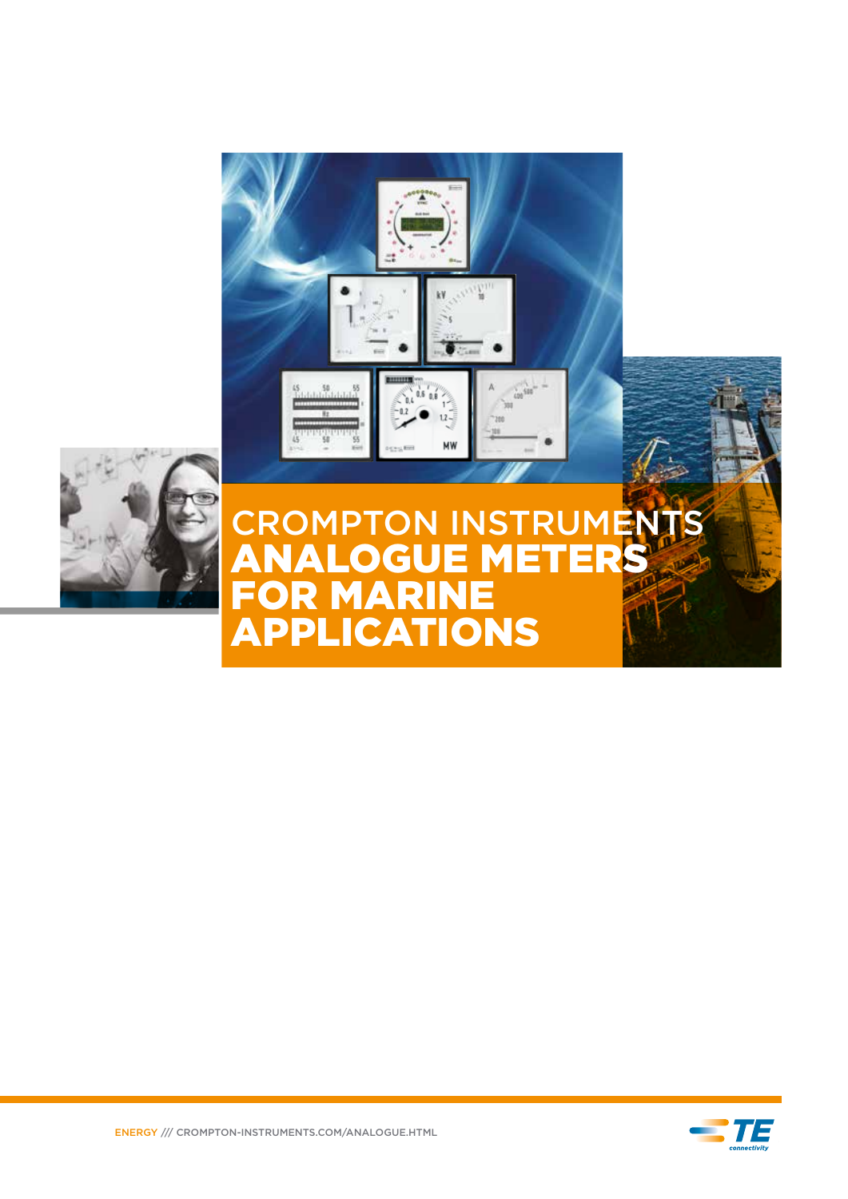



# FOR MARINE APPLICATIONS



ENERGY /// CROMPTON-INSTRUMENTS.COM/ANALOGUE.HTML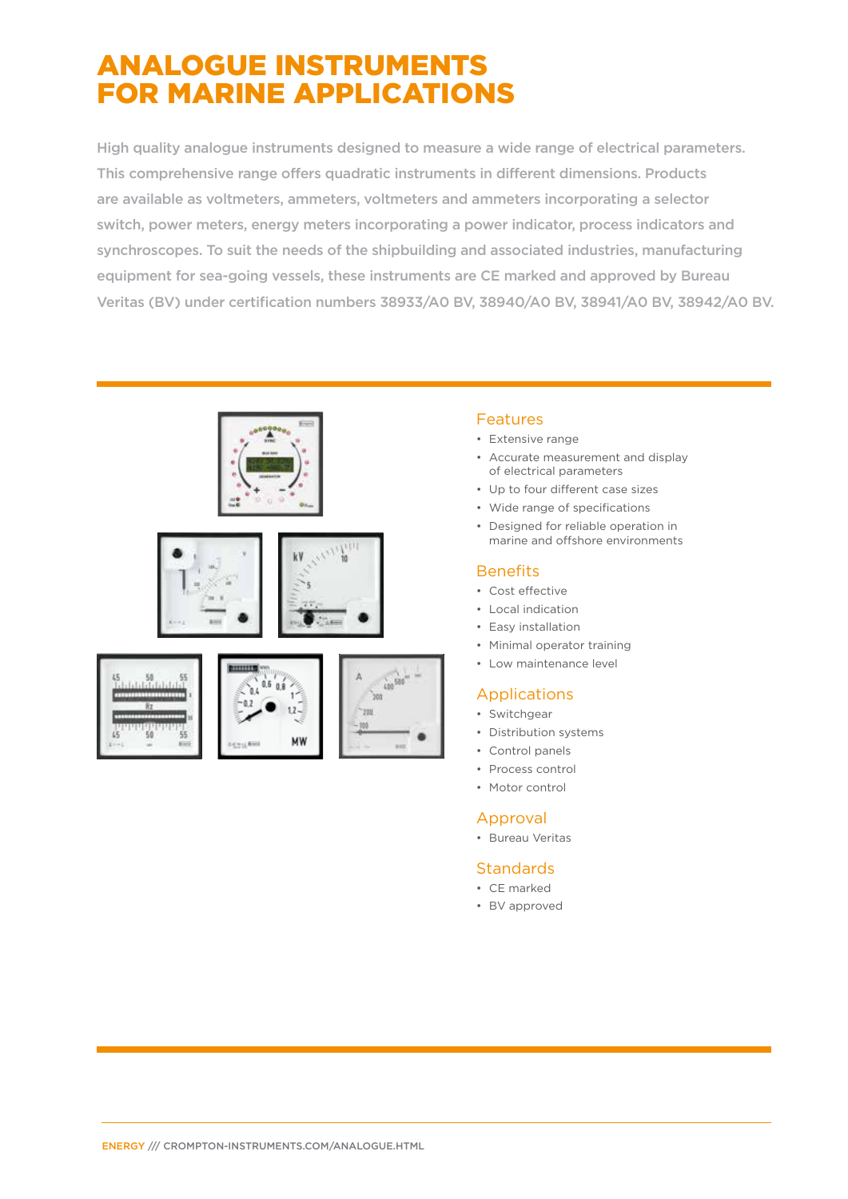### ANALOGUE INSTRUMENTS FOR MARINE APPLICATIONS

High quality analogue instruments designed to measure a wide range of electrical parameters. This comprehensive range offers quadratic instruments in different dimensions. Products are available as voltmeters, ammeters, voltmeters and ammeters incorporating a selector switch, power meters, energy meters incorporating a power indicator, process indicators and synchroscopes. To suit the needs of the shipbuilding and associated industries, manufacturing equipment for sea-going vessels, these instruments are CE marked and approved by Bureau Veritas (BV) under certification numbers 38933/A0 BV, 38940/A0 BV, 38941/A0 BV, 38942/A0 BV.



#### Features

- Extensive range
- Accurate measurement and display of electrical parameters
- Up to four different case sizes
- Wide range of specifications
- Designed for reliable operation in marine and offshore environments

#### **Benefits**

- Cost effective
- Local indication
- Easy installation
- Minimal operator training
- Low maintenance level

#### Applications

- Switchgear
- Distribution systems
- Control panels
- Process control
- Motor control

#### Approval

• Bureau Veritas

#### **Standards**

- CE marked
- BV approved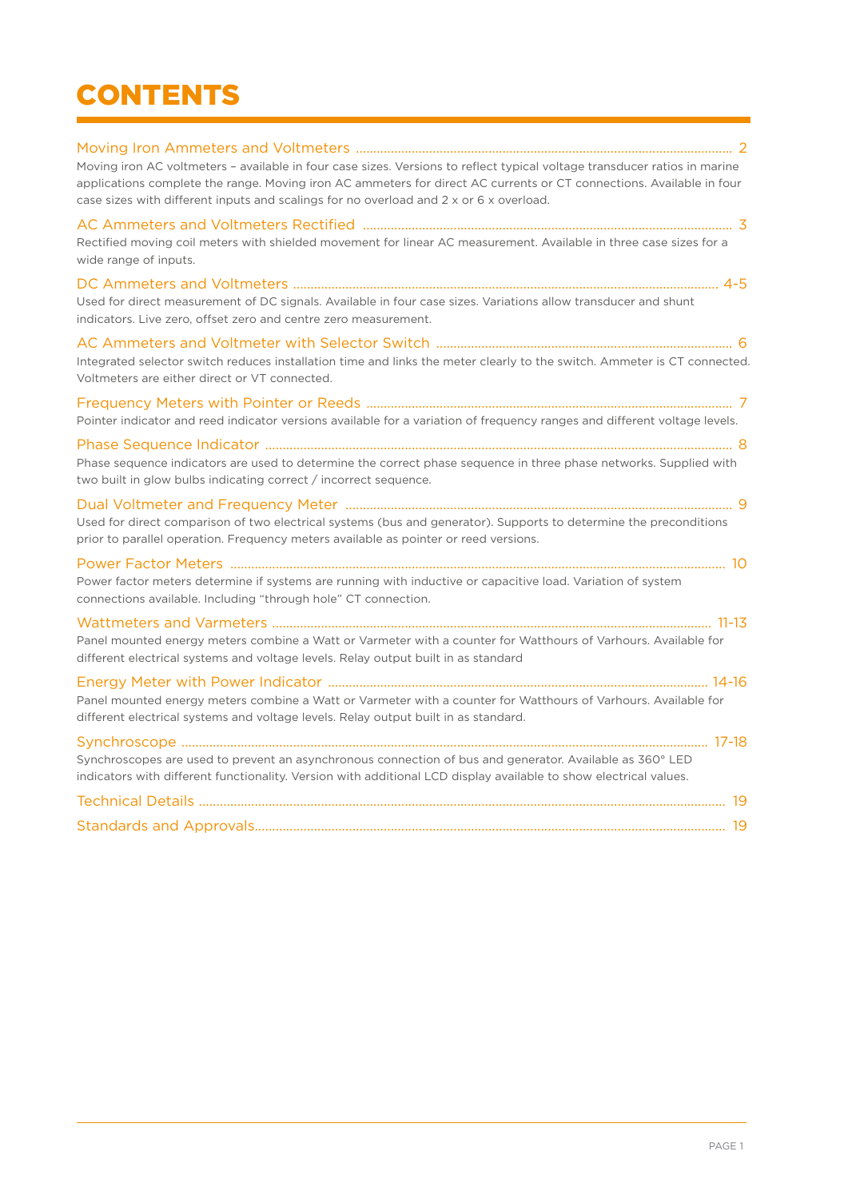## **CONTENTS**

| Moving iron AC voltmeters - available in four case sizes. Versions to reflect typical voltage transducer ratios in marine<br>applications complete the range. Moving iron AC ammeters for direct AC currents or CT connections. Available in four<br>case sizes with different inputs and scalings for no overload and 2 x or 6 x overload. |
|---------------------------------------------------------------------------------------------------------------------------------------------------------------------------------------------------------------------------------------------------------------------------------------------------------------------------------------------|
| Rectified moving coil meters with shielded movement for linear AC measurement. Available in three case sizes for a<br>wide range of inputs.                                                                                                                                                                                                 |
| Used for direct measurement of DC signals. Available in four case sizes. Variations allow transducer and shunt<br>indicators. Live zero, offset zero and centre zero measurement.                                                                                                                                                           |
| Integrated selector switch reduces installation time and links the meter clearly to the switch. Ammeter is CT connected.<br>Voltmeters are either direct or VT connected.                                                                                                                                                                   |
| Pointer indicator and reed indicator versions available for a variation of frequency ranges and different voltage levels.                                                                                                                                                                                                                   |
| Phase sequence indicators are used to determine the correct phase sequence in three phase networks. Supplied with<br>two built in glow bulbs indicating correct / incorrect sequence.                                                                                                                                                       |
| Used for direct comparison of two electrical systems (bus and generator). Supports to determine the preconditions<br>prior to parallel operation. Frequency meters available as pointer or reed versions.                                                                                                                                   |
| Power factor meters determine if systems are running with inductive or capacitive load. Variation of system<br>connections available. Including "through hole" CT connection.                                                                                                                                                               |
| Panel mounted energy meters combine a Watt or Varmeter with a counter for Watthours of Varhours. Available for<br>different electrical systems and voltage levels. Relay output built in as standard                                                                                                                                        |
| Panel mounted energy meters combine a Watt or Varmeter with a counter for Watthours of Varhours. Available for<br>different electrical systems and voltage levels. Relay output built in as standard.                                                                                                                                       |
| Synchroscopes are used to prevent an asynchronous connection of bus and generator. Available as 360° LED<br>indicators with different functionality. Version with additional LCD display available to show electrical values.                                                                                                               |
|                                                                                                                                                                                                                                                                                                                                             |
|                                                                                                                                                                                                                                                                                                                                             |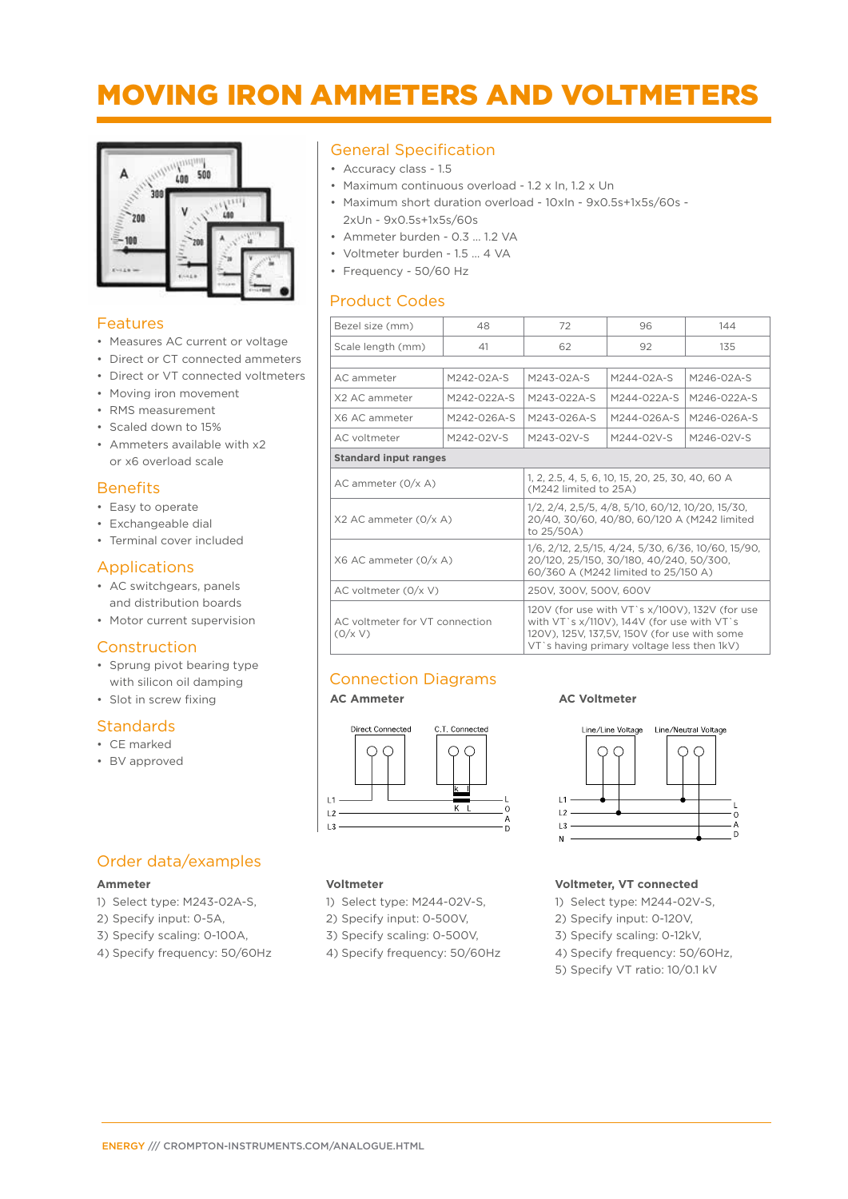### MOVING IRON AMMETERS AND VOLTMETERS



#### Features

- Measures AC current or voltage
- Direct or CT connected ammeters
- Direct or VT connected voltmeters
- Moving iron movement
- RMS measurement
- Scaled down to 15%
- Ammeters available with x2 or x6 overload scale

#### **Benefits**

- Easy to operate
- Exchangeable dial
- Terminal cover included

#### Applications

- AC switchgears, panels and distribution boards
- Motor current supervision

#### Construction

- Sprung pivot bearing type with silicon oil damping
- Slot in screw fixing

#### **Standards**

- CE marked
- BV approved

#### General Specification

- Accuracy class 1.5
- Maximum continuous overload 1.2 x In, 1.2 x Un
- Maximum short duration overload 10xIn 9x0.5s+1x5s/60s 2xUn - 9x0.5s+1x5s/60s
- Ammeter burden 0.3 … 1.2 VA
- Voltmeter burden 1.5 … 4 VA
- Frequency 50/60 Hz

#### Product Codes

| Bezel size (mm)                           | 48           | 72                                                                                                                                                                                                   | 96           | 144          |  |
|-------------------------------------------|--------------|------------------------------------------------------------------------------------------------------------------------------------------------------------------------------------------------------|--------------|--------------|--|
| Scale length (mm)                         | 41           | 62                                                                                                                                                                                                   | 92           | 135          |  |
|                                           |              |                                                                                                                                                                                                      |              |              |  |
| AC ammeter                                | $M242-02A-S$ | $M243-02A-S$                                                                                                                                                                                         | $M244-02A-S$ | $M246-02A-S$ |  |
| X2 AC ammeter                             | M242-022A-S  | M243-022A-S                                                                                                                                                                                          | M244-022A-S  | M246-022A-S  |  |
| X6 AC ammeter                             | M242-026A-S  | M243-026A-S                                                                                                                                                                                          | M244-026A-S  | M246-026A-S  |  |
| AC voltmeter                              | M242-02V-S   | M243-02V-S                                                                                                                                                                                           | M244-02V-S   | M246-02V-S   |  |
| <b>Standard input ranges</b>              |              |                                                                                                                                                                                                      |              |              |  |
| $AC$ ammeter $(0/x A)$                    |              | 1, 2, 2.5, 4, 5, 6, 10, 15, 20, 25, 30, 40, 60 A<br>(M242 limited to 25A)                                                                                                                            |              |              |  |
| X2 AC ammeter (0/x A)                     |              | 1/2, 2/4, 2,5/5, 4/8, 5/10, 60/12, 10/20, 15/30,<br>20/40, 30/60, 40/80, 60/120 A (M242 limited<br>to 25/50A)                                                                                        |              |              |  |
| X6 AC ammeter (0/x A)                     |              | 1/6, 2/12, 2,5/15, 4/24, 5/30, 6/36, 10/60, 15/90,<br>20/120, 25/150, 30/180, 40/240, 50/300,<br>60/360 A (M242 limited to 25/150 A)                                                                 |              |              |  |
| AC voltmeter (0/x V)                      |              | 250V, 300V, 500V, 600V                                                                                                                                                                               |              |              |  |
| AC voltmeter for VT connection<br>(0/x V) |              | 120V (for use with VT `s x/100V), 132V (for use<br>with $VT$ 's $x/110V$ ), 144V (for use with $VT$ 's<br>120V), 125V, 137,5V, 150V (for use with some<br>VT's having primary voltage less then 1kV) |              |              |  |

#### Connection Diagrams

**Voltmeter**



1) Select type: M244-02V-S, 2) Specify input: 0-500V, 3) Specify scaling: 0-500V, 4) Specify frequency: 50/60Hz

#### **AC Ammeter AC Voltmeter**



#### **Voltmeter, VT connected**

- 1) Select type: M244-02V-S,
- 2) Specify input: 0-120V,
- 3) Specify scaling: 0-12kV,
- 4) Specify frequency: 50/60Hz,
- 5) Specify VT ratio: 10/0.1 kV

#### Order data/examples

#### **Ammeter**

- 1) Select type: M243-02A-S,
- 2) Specify input: 0-5A,
- 3) Specify scaling: 0-100A,
- 4) Specify frequency: 50/60Hz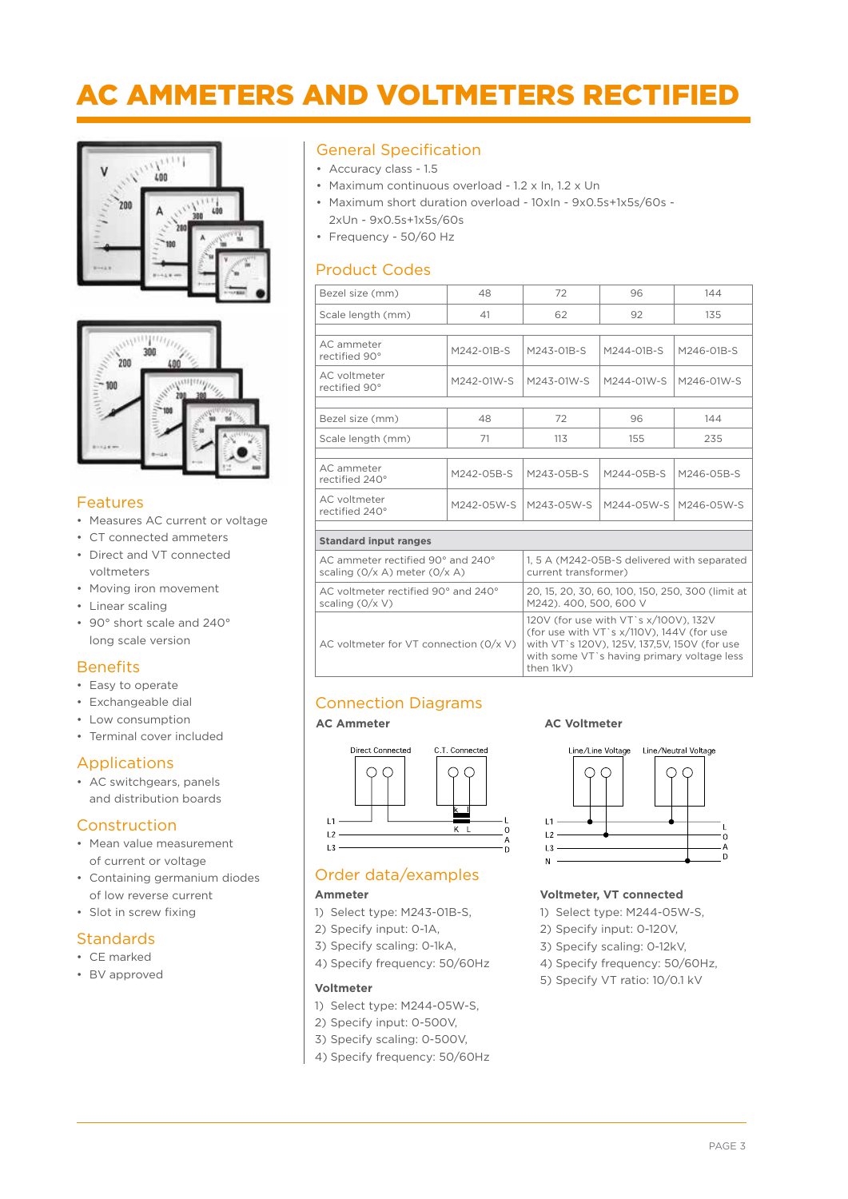### AC AMMETERS AND VOLTMETERS RECTIFIED





#### Features

- Measures AC current or voltage
- CT connected ammeters
- Direct and VT connected voltmeters
- Moving iron movement
- Linear scaling
- 90° short scale and 240° long scale version

#### **Benefits**

- Easy to operate
- Exchangeable dial
- Low consumption
- Terminal cover included

#### Applications

• AC switchgears, panels and distribution boards

#### Construction

- Mean value measurement of current or voltage
- Containing germanium diodes of low reverse current
- Slot in screw fixing

#### **Standards**

- CE marked
- BV approved

#### General Specification

- Accuracy class 1.5
- Maximum continuous overload 1.2 x In, 1.2 x Un
- Maximum short duration overload 10xIn 9x0.5s+1x5s/60s 2xUn - 9x0.5s+1x5s/60s
- Frequency 50/60 Hz

#### Product Codes

| Bezel size (mm)                                                        | 48                                                                                                                                                                                            | 72                                                                         | 96         | 144        |  |
|------------------------------------------------------------------------|-----------------------------------------------------------------------------------------------------------------------------------------------------------------------------------------------|----------------------------------------------------------------------------|------------|------------|--|
| Scale length (mm)                                                      | 41                                                                                                                                                                                            | 62                                                                         | 92         | 135        |  |
|                                                                        |                                                                                                                                                                                               |                                                                            |            |            |  |
| AC ammeter<br>rectified 90°                                            | M242-01B-S                                                                                                                                                                                    | M243-01B-S                                                                 | M244-01B-S | M246-01B-S |  |
| AC voltmeter<br>rectified 90°                                          | M242-01W-S                                                                                                                                                                                    | M243-01W-S                                                                 | M244-01W-S | M246-01W-S |  |
|                                                                        |                                                                                                                                                                                               |                                                                            |            |            |  |
| Bezel size (mm)                                                        | 48                                                                                                                                                                                            | 72                                                                         | 96         | 144        |  |
| Scale length (mm)                                                      | 71                                                                                                                                                                                            | 113                                                                        | 155        | 235        |  |
|                                                                        |                                                                                                                                                                                               |                                                                            |            |            |  |
| AC ammeter<br>rectified 240°                                           | M242-05B-S                                                                                                                                                                                    | M243-05B-S                                                                 | M244-05B-S | M246-05B-S |  |
| AC voltmeter<br>rectified 240°                                         | M242-05W-S                                                                                                                                                                                    | M243-05W-S                                                                 | M244-05W-S | M246-05W-S |  |
|                                                                        |                                                                                                                                                                                               |                                                                            |            |            |  |
| <b>Standard input ranges</b>                                           |                                                                                                                                                                                               |                                                                            |            |            |  |
| AC ammeter rectified 90° and 240°<br>scaling $(0/x A)$ meter $(0/x A)$ | 1, 5 A (M242-05B-S delivered with separated<br>current transformer)                                                                                                                           |                                                                            |            |            |  |
| AC voltmeter rectified 90° and 240°<br>scaling $(0/x V)$               |                                                                                                                                                                                               | 20, 15, 20, 30, 60, 100, 150, 250, 300 (limit at<br>M242), 400, 500, 600 V |            |            |  |
| AC voltmeter for VT connection $(0/x V)$                               | 120V (for use with VT's x/100V), 132V<br>(for use with VT's x/110V), 144V (for use<br>with VT's 120V), 125V, 137,5V, 150V (for use<br>with some VT's having primary voltage less<br>then 1kV) |                                                                            |            |            |  |

#### Connection Diagrams



#### Order data/examples

#### **Ammeter**

- 1) Select type: M243-01B-S,
- 2) Specify input: 0-1A,
- 3) Specify scaling: 0-1kA,
- 4) Specify frequency: 50/60Hz

#### **Voltmeter**

- 1) Select type: M244-05W-S,
- 2) Specify input: 0-500V,
- 3) Specify scaling: 0-500V,
- 4) Specify frequency: 50/60Hz

#### **AC Ammeter AC Voltmeter**



#### **Voltmeter, VT connected**

- 1) Select type: M244-05W-S,
- 2) Specify input: 0-120V,
- 3) Specify scaling: 0-12kV,
- 4) Specify frequency: 50/60Hz,
- 5) Specify VT ratio: 10/0.1 kV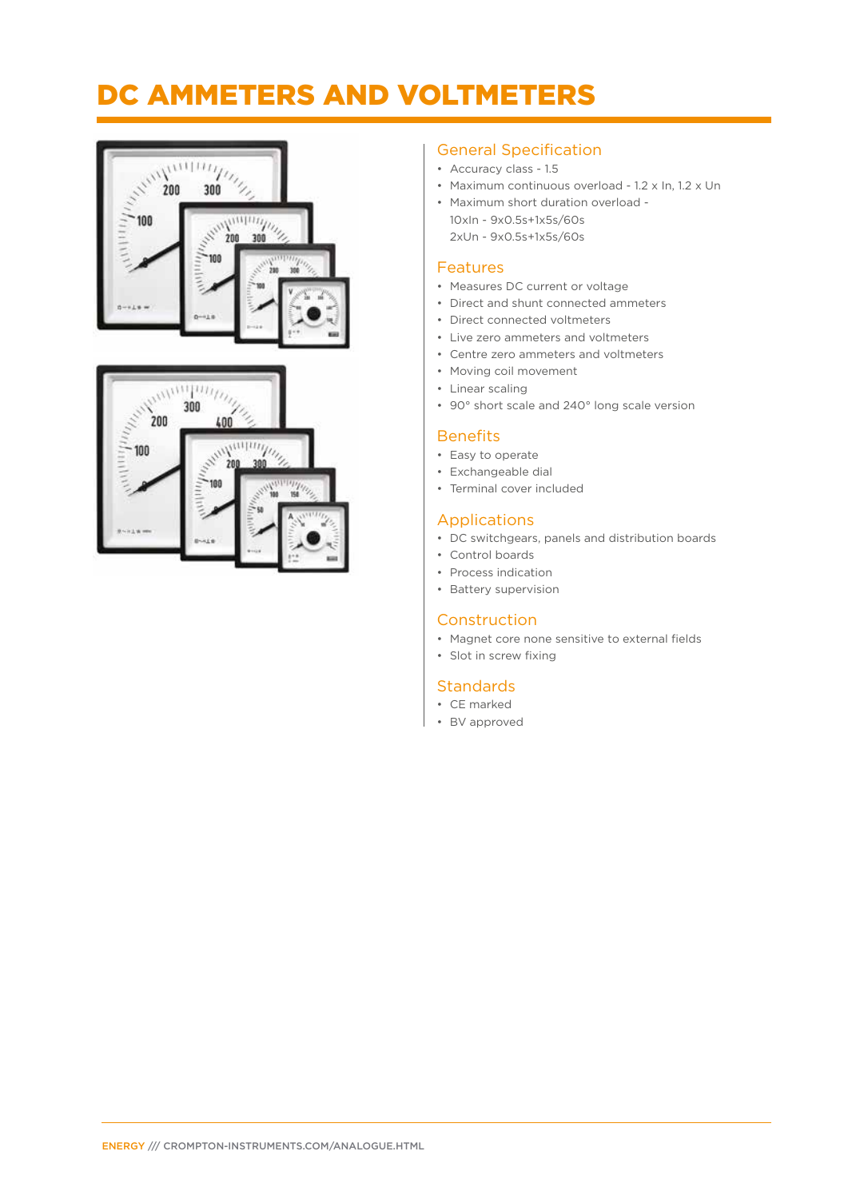### DC AMMETERS AND VOLTMETERS





#### General Specification

- Accuracy class 1.5
- Maximum continuous overload 1.2 x In, 1.2 x Un
- Maximum short duration overload 10xIn - 9x0.5s+1x5s/60s 2xUn - 9x0.5s+1x5s/60s

#### Features

- Measures DC current or voltage
- Direct and shunt connected ammeters
- Direct connected voltmeters
- Live zero ammeters and voltmeters
- Centre zero ammeters and voltmeters
- Moving coil movement
- Linear scaling
- 90° short scale and 240° long scale version

#### **Benefits**

- Easy to operate
- Exchangeable dial
- Terminal cover included

#### Applications

- DC switchgears, panels and distribution boards
- Control boards
- Process indication
- Battery supervision

#### **Construction**

- Magnet core none sensitive to external fields
- Slot in screw fixing

#### **Standards**

- CE marked
- BV approved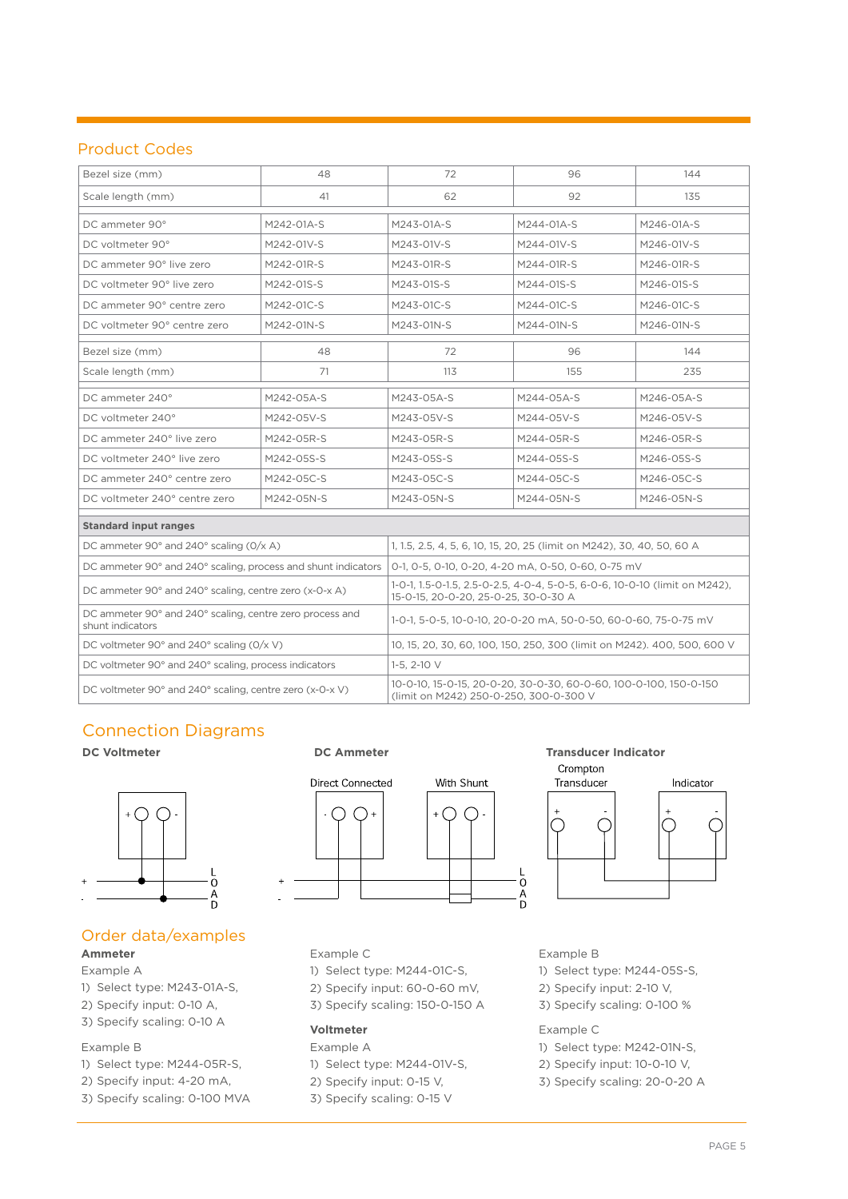#### Product Codes

| Bezel size (mm)                                                              | 48         | 72                                                                                                                 | 96         | 144        |  |
|------------------------------------------------------------------------------|------------|--------------------------------------------------------------------------------------------------------------------|------------|------------|--|
| Scale length (mm)<br>41                                                      |            | 62                                                                                                                 | 92         | 135        |  |
| DC ammeter 90°                                                               | M242-01A-S | M243-01A-S                                                                                                         | M244-01A-S | M246-01A-S |  |
| DC voltmeter 90°                                                             | M242-01V-S | M243-01V-S                                                                                                         | M244-01V-S | M246-01V-S |  |
| DC ammeter 90° live zero                                                     | M242-01R-S | M243-01R-S                                                                                                         | M244-01R-S | M246-01R-S |  |
| DC voltmeter 90° live zero                                                   | M242-01S-S | M243-01S-S                                                                                                         | M244-01S-S | M246-01S-S |  |
| DC ammeter 90° centre zero                                                   | M242-01C-S | M243-01C-S                                                                                                         | M244-01C-S | M246-01C-S |  |
| DC voltmeter 90° centre zero                                                 | M242-01N-S | M243-01N-S                                                                                                         | M244-01N-S | M246-01N-S |  |
| Bezel size (mm)                                                              | 48         | 72                                                                                                                 | 96         | 144        |  |
| Scale length (mm)                                                            | 71         | 113                                                                                                                | 155        | 235        |  |
| DC ammeter 240°                                                              | M242-05A-S | M243-05A-S                                                                                                         | M244-05A-S | M246-05A-S |  |
| DC voltmeter 240°                                                            | M242-05V-S | M243-05V-S                                                                                                         | M244-05V-S | M246-05V-S |  |
| DC ammeter 240° live zero                                                    | M242-05R-S | M243-05R-S                                                                                                         | M244-05R-S | M246-05R-S |  |
| DC voltmeter 240° live zero                                                  | M242-05S-S | M243-05S-S                                                                                                         | M244-05S-S | M246-05S-S |  |
| DC ammeter 240° centre zero                                                  | M242-05C-S | M243-05C-S                                                                                                         | M244-05C-S | M246-05C-S |  |
| DC voltmeter 240° centre zero                                                | M242-05N-S | M243-05N-S                                                                                                         | M244-05N-S | M246-05N-S |  |
| <b>Standard input ranges</b>                                                 |            |                                                                                                                    |            |            |  |
| DC ammeter 90 $^{\circ}$ and 240 $^{\circ}$ scaling (0/x A)                  |            | 1, 1.5, 2.5, 4, 5, 6, 10, 15, 20, 25 (limit on M242), 30, 40, 50, 60 A                                             |            |            |  |
| DC ammeter 90° and 240° scaling, process and shunt indicators                |            | 0-1, 0-5, 0-10, 0-20, 4-20 mA, 0-50, 0-60, 0-75 mV                                                                 |            |            |  |
| DC ammeter 90° and 240° scaling, centre zero (x-0-x A)                       |            | 1-0-1, 1.5-0-1.5, 2.5-0-2.5, 4-0-4, 5-0-5, 6-0-6, 10-0-10 (limit on M242),<br>15-0-15, 20-0-20, 25-0-25, 30-0-30 A |            |            |  |
| DC ammeter 90° and 240° scaling, centre zero process and<br>shunt indicators |            | 1-0-1, 5-0-5, 10-0-10, 20-0-20 mA, 50-0-50, 60-0-60, 75-0-75 mV                                                    |            |            |  |
| DC voltmeter 90 $^{\circ}$ and 240 $^{\circ}$ scaling (0/x V)                |            | 10, 15, 20, 30, 60, 100, 150, 250, 300 (limit on M242). 400, 500, 600 V                                            |            |            |  |
| DC voltmeter 90° and 240° scaling, process indicators                        |            | $1-5, 2-10$ V                                                                                                      |            |            |  |
| DC voltmeter 90° and 240° scaling, centre zero (x-0-x V)                     |            | 10-0-10, 15-0-15, 20-0-20, 30-0-30, 60-0-60, 100-0-100, 150-0-150<br>(limit on M242) 250-0-250, 300-0-300 V        |            |            |  |

### Connection Diagrams



#### Order data/examples **Ammeter**

#### Example A

- 1) Select type: M243-01A-S,
- 2) Specify input: 0-10 A,
- 3) Specify scaling: 0-10 A

#### Example B

- 1) Select type: M244-05R-S,
- 2) Specify input: 4-20 mA,
- 3) Specify scaling: 0-100 MVA



#### **DC Voltmeter DC Ammeter DC Ammeter Transducer Indicator**



#### Example C

- 1) Select type: M244-01C-S,
- 2) Specify input: 60-0-60 mV,
- 3) Specify scaling: 150-0-150 A

#### **Voltmeter**

Example A

- 1) Select type: M244-01V-S,
- 2) Specify input: 0-15 V,
- 3) Specify scaling: 0-15 V

#### Example B

- 1) Select type: M244-05S-S,
- 2) Specify input: 2-10 V,
- 3) Specify scaling: 0-100 %

#### Example C

- 1) Select type: M242-01N-S,
- 2) Specify input: 10-0-10 V,
- 3) Specify scaling: 20-0-20 A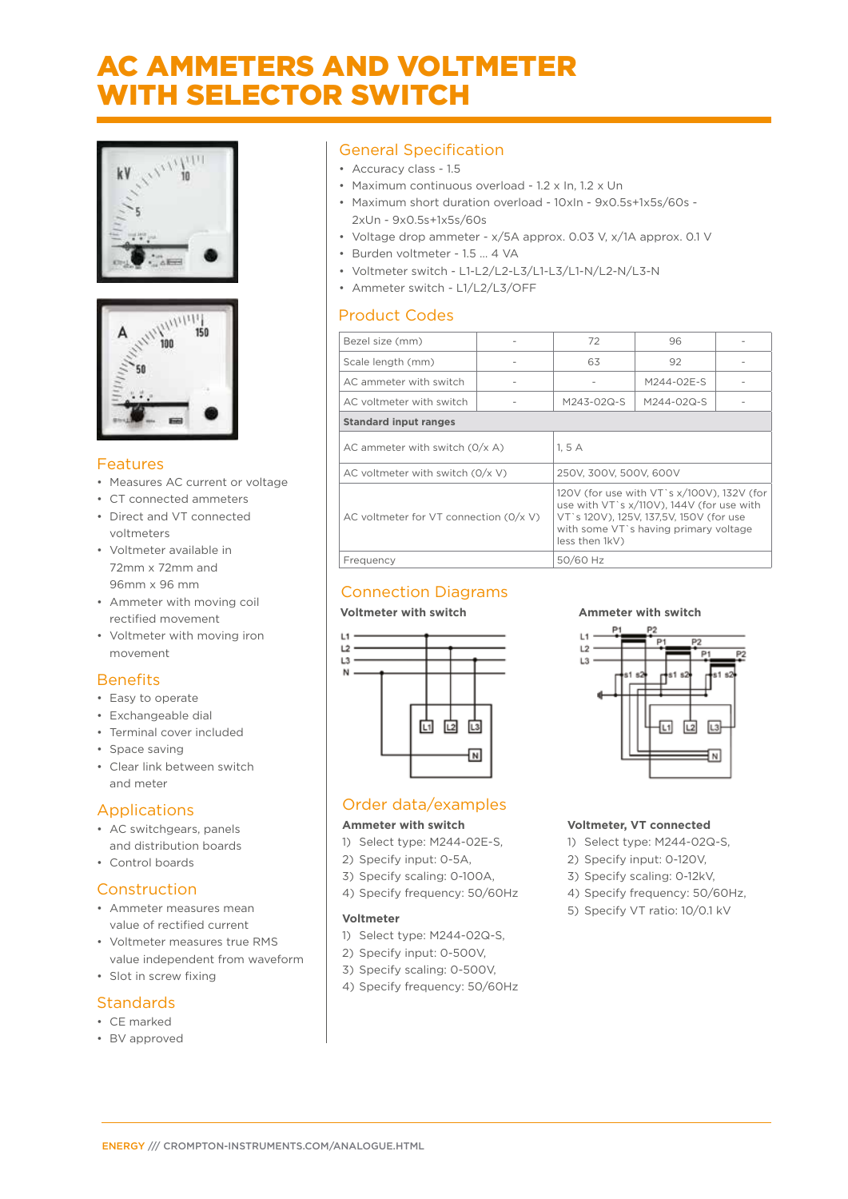### AC AMMETERS AND VOLTMETER WITH SELECTOR SWITCH





#### Features

- Measures AC current or voltage
- CT connected ammeters
- Direct and VT connected voltmeters
- Voltmeter available in 72mm x 72mm and 96mm x 96 mm
- Ammeter with moving coil rectified movement
- Voltmeter with moving iron movement

#### **Benefits**

- Easy to operate
- Exchangeable dial
- Terminal cover included
- Space saving
- Clear link between switch and meter

#### Applications

- AC switchgears, panels and distribution boards
- Control boards

#### Construction

- Ammeter measures mean value of rectified current
- Voltmeter measures true RMS value independent from waveform
- Slot in screw fixing

#### **Standards**

- CE marked
- BV approved

#### General Specification

- Accuracy class 1.5
- Maximum continuous overload 1.2 x In, 1.2 x Un
- Maximum short duration overload 10xIn 9x0.5s+1x5s/60s 2xUn - 9x0.5s+1x5s/60s
- Voltage drop ammeter x/5A approx. 0.03 V, x/1A approx. 0.1 V
- Burden voltmeter 1.5 … 4 VA
- Voltmeter switch L1-L2/L2-L3/L1-L3/L1-N/L2-N/L3-N
- Ammeter switch L1/L2/L3/OFF

#### Product Codes

| Bezel size (mm)                          |                        | 72                                                                                                                                                                          | 96         |  |  |
|------------------------------------------|------------------------|-----------------------------------------------------------------------------------------------------------------------------------------------------------------------------|------------|--|--|
| Scale length (mm)                        |                        | 63                                                                                                                                                                          | 92         |  |  |
| AC ammeter with switch                   |                        |                                                                                                                                                                             | M244-02E-S |  |  |
| AC voltmeter with switch                 |                        | M243-02Q-S                                                                                                                                                                  | M244-02Q-S |  |  |
| <b>Standard input ranges</b>             |                        |                                                                                                                                                                             |            |  |  |
| AC ammeter with switch $(0/x A)$         |                        | 1.5A                                                                                                                                                                        |            |  |  |
| AC voltmeter with switch $(0/x V)$       | 250V, 300V, 500V, 600V |                                                                                                                                                                             |            |  |  |
| AC voltmeter for VT connection $(0/x V)$ | less then 1kV)         | 120V (for use with VT's x/100V), 132V (for<br>use with VT's x/110V), 144V (for use with<br>VT`s 120V), 125V, 137,5V, 150V (for use<br>with some VT's having primary voltage |            |  |  |
| Frequency                                |                        | 50/60 Hz                                                                                                                                                                    |            |  |  |

#### Connection Diagrams

#### **Voltmeter with switch Commeter with switch Ammeter with switch**



#### Order data/examples

#### **Ammeter with switch**

- 1) Select type: M244-02E-S,
- 2) Specify input: 0-5A,
- 3) Specify scaling: 0-100A,
- 4) Specify frequency: 50/60Hz

#### **Voltmeter**

- 1) Select type: M244-02Q-S,
- 2) Specify input: 0-500V,
- 3) Specify scaling: 0-500V,
- 4) Specify frequency: 50/60Hz

#### $\overline{14}$ P2  $L2$  $\mathbf{D}$  $\mathsf{L}3$ 冚  $\overline{L2}$  $\overline{L3}$

#### **Voltmeter, VT connected**

- 1) Select type: M244-02Q-S,
- 2) Specify input: 0-120V,
- 3) Specify scaling: 0-12kV,
- 4) Specify frequency: 50/60Hz,
- 5) Specify VT ratio: 10/0.1 kV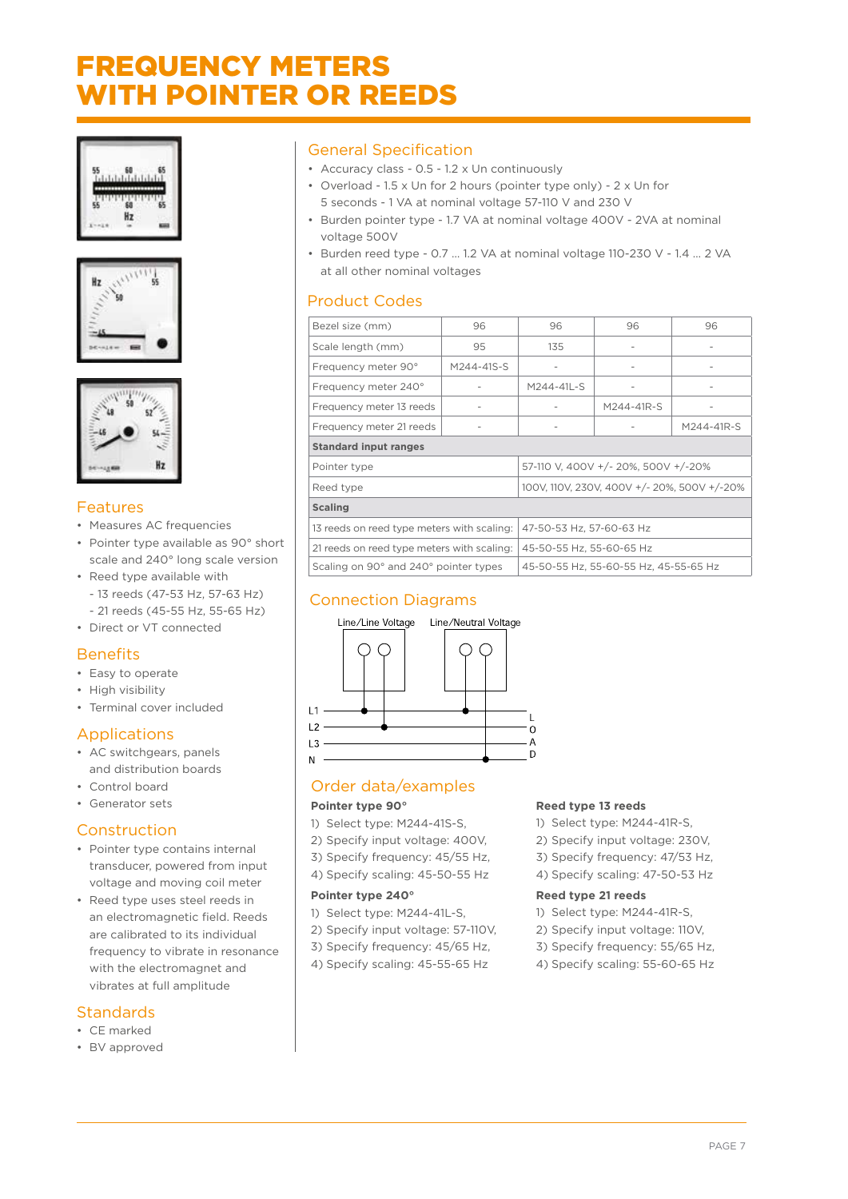### FREQUENCY METERS WITH POINTER OR REEDS







#### Features

- Measures AC frequencies
- Pointer type available as 90° short scale and 240° long scale version • Reed type available with
- 
- 13 reeds (47-53 Hz, 57-63 Hz) - 21 reeds (45-55 Hz, 55-65 Hz)
- Direct or VT connected

#### **Benefits**

- Easy to operate
- High visibility
- Terminal cover included

#### Applications

- AC switchgears, panels and distribution boards
- Control board
- Generator sets

#### Construction

- Pointer type contains internal transducer, powered from input voltage and moving coil meter
- Reed type uses steel reeds in an electromagnetic field. Reeds are calibrated to its individual frequency to vibrate in resonance with the electromagnet and vibrates at full amplitude

#### **Standards**

- CE marked
- BV approved

#### General Specification

- Accuracy class 0.5 1.2 x Un continuously
- Overload 1.5 x Un for 2 hours (pointer type only) 2 x Un for 5 seconds - 1 VA at nominal voltage 57-110 V and 230 V
- Burden pointer type 1.7 VA at nominal voltage 400V 2VA at nominal voltage 500V
- Burden reed type 0.7 … 1.2 VA at nominal voltage 110-230 V 1.4 … 2 VA at all other nominal voltages

#### Product Codes

| Bezel size (mm)                                          | 96                                  |                                       | 96              | 96         |  |
|----------------------------------------------------------|-------------------------------------|---------------------------------------|-----------------|------------|--|
| Scale length (mm)                                        | 95                                  | 135                                   |                 |            |  |
| Frequency meter 90°                                      | M244-41S-S                          |                                       | $\qquad \qquad$ |            |  |
| Frequency meter 240°                                     |                                     | M244-41L-S                            | $\overline{a}$  |            |  |
| Frequency meter 13 reeds                                 |                                     |                                       | M244-41R-S      |            |  |
| Frequency meter 21 reeds                                 |                                     |                                       |                 | M244-41R-S |  |
| <b>Standard input ranges</b>                             |                                     |                                       |                 |            |  |
| Pointer type                                             | 57-110 V, 400V +/- 20%, 500V +/-20% |                                       |                 |            |  |
| 100V, 110V, 230V, 400V +/- 20%, 500V +/-20%<br>Reed type |                                     |                                       |                 |            |  |
| <b>Scaling</b>                                           |                                     |                                       |                 |            |  |
| 13 reeds on reed type meters with scaling:               | 47-50-53 Hz, 57-60-63 Hz            |                                       |                 |            |  |
| 21 reeds on reed type meters with scaling:               | 45-50-55 Hz, 55-60-65 Hz            |                                       |                 |            |  |
| Scaling on 90° and 240° pointer types                    |                                     | 45-50-55 Hz, 55-60-55 Hz, 45-55-65 Hz |                 |            |  |

#### Connection Diagrams



#### Order data/examples

#### **Pointer type 90°**

- 1) Select type: M244-41S-S,
- 2) Specify input voltage: 400V,
- 3) Specify frequency: 45/55 Hz,
- 4) Specify scaling: 45-50-55 Hz

#### **Pointer type 240°**

- 1) Select type: M244-41L-S,
- 2) Specify input voltage: 57-110V,
- 3) Specify frequency: 45/65 Hz,
- 4) Specify scaling: 45-55-65 Hz

#### **Reed type 13 reeds**

- 1) Select type: M244-41R-S,
- 2) Specify input voltage: 230V,
- 3) Specify frequency: 47/53 Hz,
- 4) Specify scaling: 47-50-53 Hz

#### **Reed type 21 reeds**

- 1) Select type: M244-41R-S,
- 2) Specify input voltage: 110V,
- 3) Specify frequency: 55/65 Hz,
- 4) Specify scaling: 55-60-65 Hz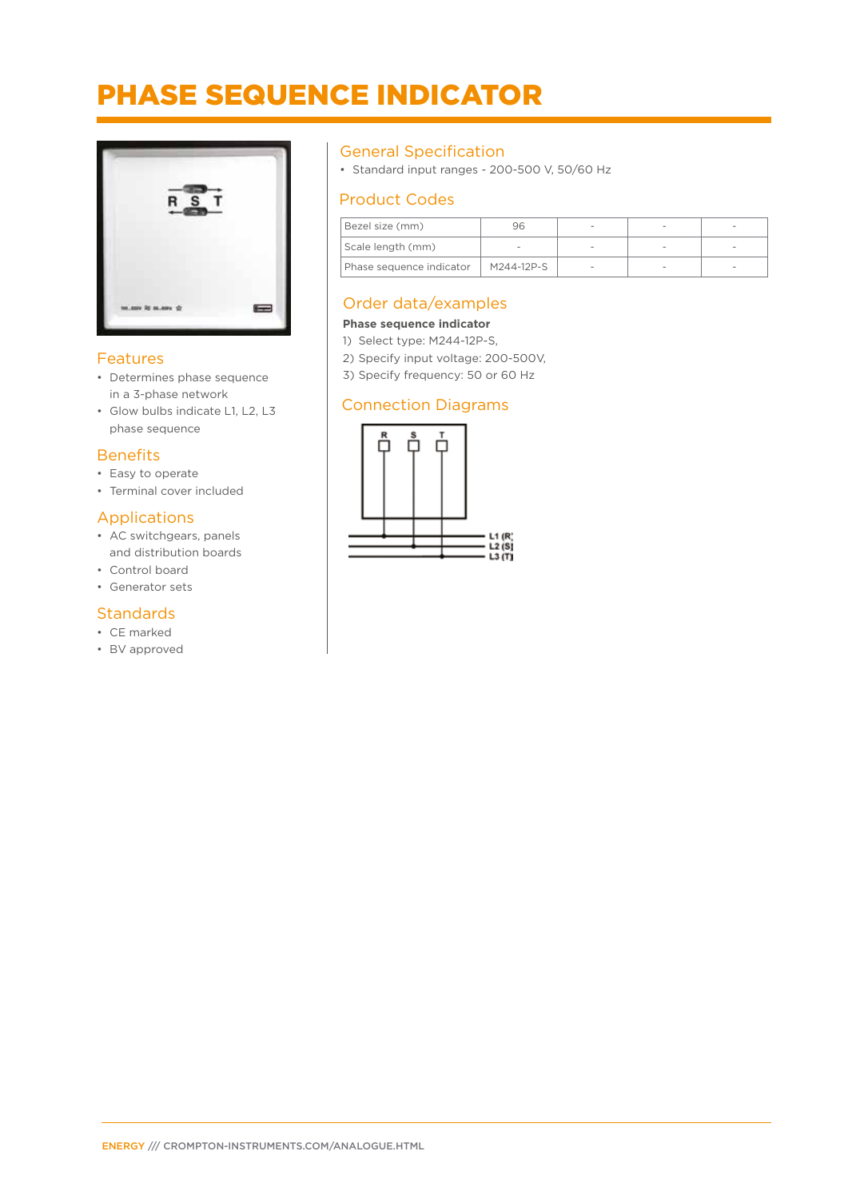### PHASE SEQUENCE INDICATOR



#### Features

- Determines phase sequence in a 3-phase network
- Glow bulbs indicate L1, L2, L3 phase sequence

#### **Benefits**

- Easy to operate
- Terminal cover included

#### Applications

- AC switchgears, panels and distribution boards
- Control board
- Generator sets

#### **Standards**

- CE marked
- BV approved

#### General Specification

• Standard input ranges - 200-500 V, 50/60 Hz

#### Product Codes

| Bezel size (mm)          |            |  |  |
|--------------------------|------------|--|--|
| Scale length (mm)        |            |  |  |
| Phase sequence indicator | M244-12P-S |  |  |

#### Order data/examples

#### **Phase sequence indicator**

- 1) Select type: M244-12P-S,
- 2) Specify input voltage: 200-500V,
- 3) Specify frequency: 50 or 60 Hz

#### Connection Diagrams

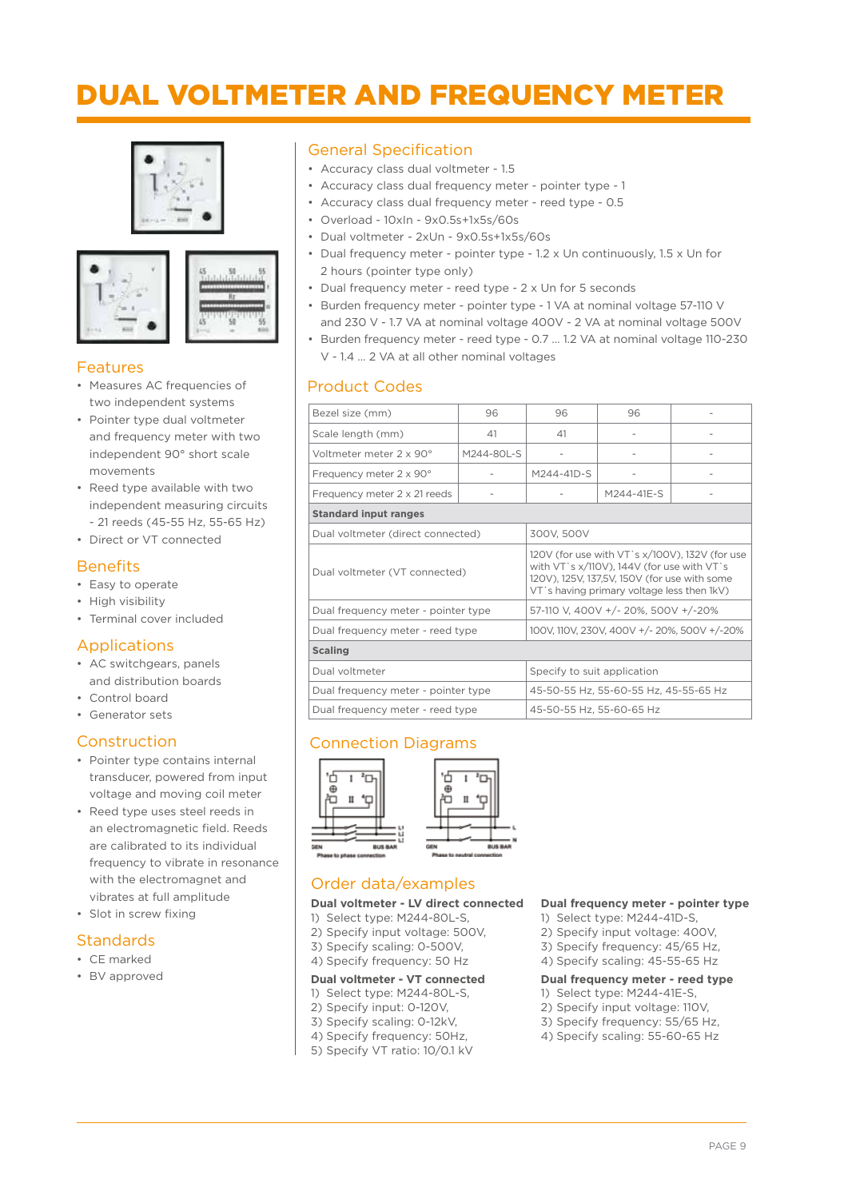### DUAL VOLTMETER AND FREQUENCY METER







#### Features

- Measures AC frequencies of two independent systems
- Pointer type dual voltmeter and frequency meter with two independent 90° short scale movements
- Reed type available with two independent measuring circuits - 21 reeds (45-55 Hz, 55-65 Hz)
- Direct or VT connected

#### **Benefits**

- Easy to operate
- High visibility
- Terminal cover included

#### Applications

- AC switchgears, panels and distribution boards
- Control board
- Generator sets

#### Construction

- Pointer type contains internal transducer, powered from input voltage and moving coil meter
- Reed type uses steel reeds in an electromagnetic field. Reeds are calibrated to its individual frequency to vibrate in resonance with the electromagnet and vibrates at full amplitude
- Slot in screw fixing

#### Standards

- CE marked
- BV approved

#### General Specification

- Accuracy class dual voltmeter 1.5
- Accuracy class dual frequency meter pointer type 1
- Accuracy class dual frequency meter reed type 0.5
- Overload 10xIn 9x0.5s+1x5s/60s
- Dual voltmeter 2xUn 9x0.5s+1x5s/60s
- Dual frequency meter pointer type 1.2 x Un continuously, 1.5 x Un for 2 hours (pointer type only)
- Dual frequency meter reed type 2 x Un for 5 seconds
- Burden frequency meter pointer type 1 VA at nominal voltage 57-110 V and 230 V - 1.7 VA at nominal voltage 400V - 2 VA at nominal voltage 500V
- Burden frequency meter reed type 0.7 … 1.2 VA at nominal voltage 110-230 V - 1.4 … 2 VA at all other nominal voltages

#### Product Codes

| Bezel size (mm)                     | 96                                    | 96                                                                                                                                                                                         | 96                                  |  |  |
|-------------------------------------|---------------------------------------|--------------------------------------------------------------------------------------------------------------------------------------------------------------------------------------------|-------------------------------------|--|--|
| Scale length (mm)                   | 41                                    | 41                                                                                                                                                                                         |                                     |  |  |
| Voltmeter meter 2 x 90°             | M244-80L-S                            |                                                                                                                                                                                            |                                     |  |  |
| Frequency meter 2 x 90°             |                                       | M244-41D-S                                                                                                                                                                                 |                                     |  |  |
| Frequency meter 2 x 21 reeds        |                                       |                                                                                                                                                                                            | M244-41E-S                          |  |  |
| <b>Standard input ranges</b>        |                                       |                                                                                                                                                                                            |                                     |  |  |
| Dual voltmeter (direct connected)   |                                       | 300V, 500V                                                                                                                                                                                 |                                     |  |  |
| Dual voltmeter (VT connected)       |                                       | 120V (for use with VT`s x/100V), 132V (for use<br>with VT's x/110V), 144V (for use with VT's<br>120V), 125V, 137,5V, 150V (for use with some<br>VT's having primary voltage less then 1kV) |                                     |  |  |
| Dual frequency meter - pointer type |                                       |                                                                                                                                                                                            | 57-110 V, 400V +/- 20%, 500V +/-20% |  |  |
| Dual frequency meter - reed type    |                                       | 100V, 110V, 230V, 400V +/- 20%, 500V +/-20%                                                                                                                                                |                                     |  |  |
| <b>Scaling</b>                      |                                       |                                                                                                                                                                                            |                                     |  |  |
| Dual voltmeter                      | Specify to suit application           |                                                                                                                                                                                            |                                     |  |  |
| Dual frequency meter - pointer type | 45-50-55 Hz, 55-60-55 Hz, 45-55-65 Hz |                                                                                                                                                                                            |                                     |  |  |
| Dual frequency meter - reed type    |                                       | 45-50-55 Hz. 55-60-65 Hz                                                                                                                                                                   |                                     |  |  |

#### Connection Diagrams



#### Order data/examples

#### **Dual voltmeter - LV direct connected**

- 1) Select type: M244-80L-S,
- 2) Specify input voltage: 500V,
- 3) Specify scaling: 0-500V,
- 4) Specify frequency: 50 Hz

#### **Dual voltmeter - VT connected**

- 1) Select type: M244-80L-S,
- 2) Specify input: 0-120V,
- 3) Specify scaling: 0-12kV,
- 4) Specify frequency: 50Hz,
- 5) Specify VT ratio: 10/0.1 kV

#### **Dual frequency meter - pointer type**

- 1) Select type: M244-41D-S,
- 2) Specify input voltage: 400V,
- 3) Specify frequency: 45/65 Hz,
- 4) Specify scaling: 45-55-65 Hz

#### **Dual frequency meter - reed type**

- 1) Select type: M244-41E-S,
- 2) Specify input voltage: 110V,
- 3) Specify frequency: 55/65 Hz,
- 4) Specify scaling: 55-60-65 Hz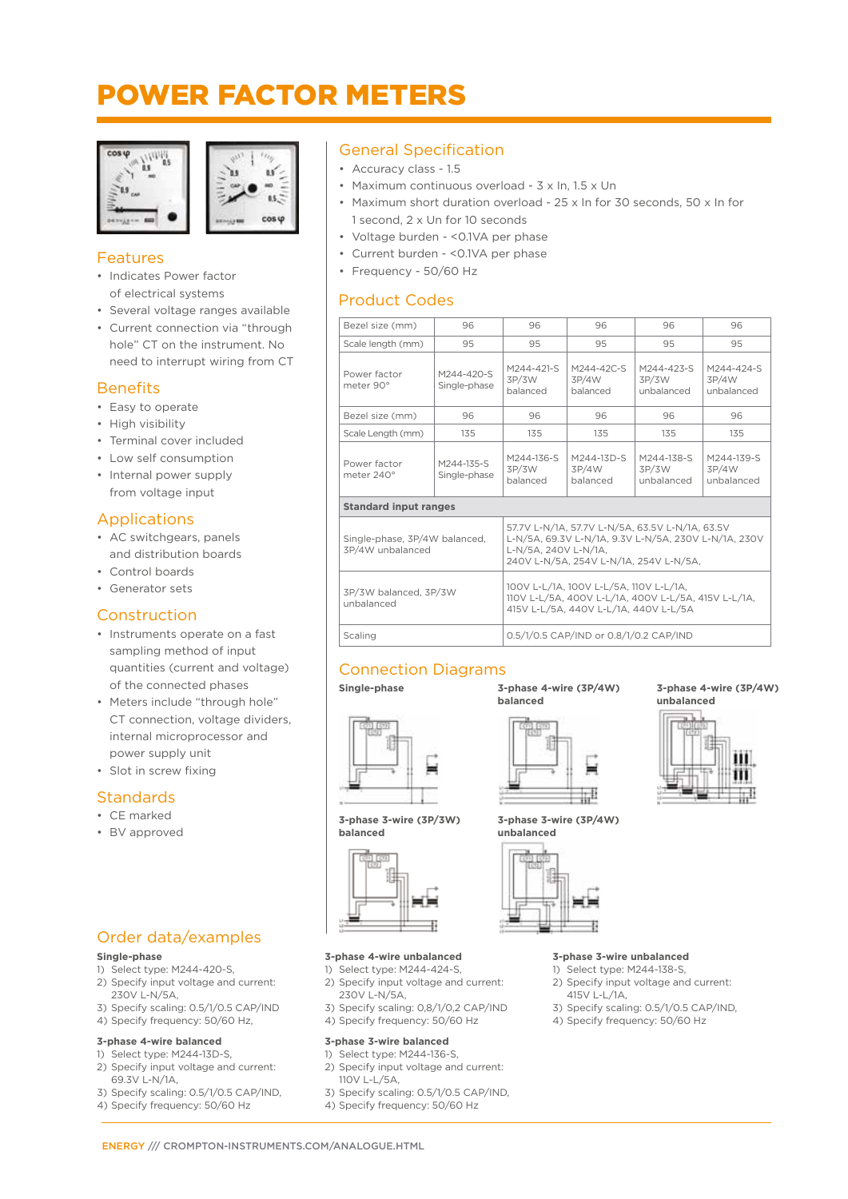# POWER FACTOR METERS





#### Features

- Indicates Power factor of electrical systems
- Several voltage ranges available
- Current connection via "through hole" CT on the instrument. No need to interrupt wiring from CT

#### **Benefits**

- Easy to operate
- High visibility
- Terminal cover included
- Low self consumption
- Internal power supply from voltage input

#### Applications

- AC switchgears, panels and distribution boards
- Control boards
- Generator sets

#### Construction

- Instruments operate on a fast sampling method of input quantities (current and voltage) of the connected phases
- Meters include "through hole" CT connection, voltage dividers, internal microprocessor and power supply unit

Order data/examples

3) Specify scaling: 0.5/1/0.5 CAP/IND 4) Specify frequency: 50/60 Hz, **3-phase 4-wire balanced** 1) Select type: M244-13D-S, 2) Specify input voltage and current:

3) Specify scaling: 0.5/1/0.5 CAP/IND, 4) Specify frequency: 50/60 Hz

1) Select type: M244-420-S, 2) Specify input voltage and current:

• Slot in screw fixing

#### **Standards**

#### • CE marked

• BV approved

**Single-phase**

230V L-N/5A,

69.3V L-N/1A,

#### General Specification

- Accuracy class 1.5
- Maximum continuous overload 3 x In, 1.5 x Un
- Maximum short duration overload 25 x In for 30 seconds, 50 x In for 1 second, 2 x Un for 10 seconds
- Voltage burden <0.1VA per phase
- Current burden <0.1VA per phase
- Frequency 50/60 Hz

#### Product Codes

| Bezel size (mm)                     | 96                                                                                                                                                                                                         | 96                                                                                                                                     | 96                                     | 96                                | 96                                |
|-------------------------------------|------------------------------------------------------------------------------------------------------------------------------------------------------------------------------------------------------------|----------------------------------------------------------------------------------------------------------------------------------------|----------------------------------------|-----------------------------------|-----------------------------------|
| Scale length (mm)                   | 95                                                                                                                                                                                                         | 95                                                                                                                                     | 95                                     | 95                                | 95                                |
| Power factor<br>meter 90°           | M244-420-S<br>Single-phase                                                                                                                                                                                 | M244-421-S<br>3P/3W<br>balanced                                                                                                        | M244-42C-S<br>3P/4W<br>balanced        | M244-423-S<br>3P/3W<br>unbalanced | M244-424-S<br>3P/4W<br>unbalanced |
| Bezel size (mm)                     | 96                                                                                                                                                                                                         | 96                                                                                                                                     | 96                                     | 96                                | 96                                |
| Scale Length (mm)                   | 135                                                                                                                                                                                                        | 135                                                                                                                                    | 135                                    | 135                               | 135                               |
| Power factor<br>meter 240°          | M244-135-S<br>Single-phase                                                                                                                                                                                 | M244-136-S<br>3P/3W<br>balanced                                                                                                        | M244-13D-S<br>3P/4W<br>balanced        | M244-138-S<br>3P/3W<br>unbalanced | M244-139-S<br>3P/4W<br>unbalanced |
| <b>Standard input ranges</b>        |                                                                                                                                                                                                            |                                                                                                                                        |                                        |                                   |                                   |
| 3P/4W unbalanced                    | 57.7V L-N/1A, 57.7V L-N/5A, 63.5V L-N/1A, 63.5V<br>L-N/5A, 69.3V L-N/1A, 9.3V L-N/5A, 230V L-N/1A, 230V<br>Single-phase, 3P/4W balanced.<br>L-N/5A. 240V L-N/1A.<br>240V L-N/5A. 254V L-N/1A. 254V L-N/5A. |                                                                                                                                        |                                        |                                   |                                   |
| 3P/3W balanced, 3P/3W<br>unbalanced |                                                                                                                                                                                                            | 100V L-L/1A. 100V L-L/5A. 110V L-L/1A.<br>110V L-L/5A, 400V L-L/1A, 400V L-L/5A, 415V L-L/1A,<br>415V L-L/5A, 440V L-L/1A, 440V L-L/5A |                                        |                                   |                                   |
| Scaling                             |                                                                                                                                                                                                            |                                                                                                                                        | 0.5/1/0.5 CAP/IND or 0.8/1/0.2 CAP/IND |                                   |                                   |
|                                     |                                                                                                                                                                                                            |                                                                                                                                        |                                        |                                   |                                   |

#### Connection Diagrams

**Single-phase 3-phase 4-wire (3P/4W) balanced** 



**3-phase 3-wire (3P/4W)**



**3-phase 4-wire (3P/4W) unbalanced**



**3-phase 3-wire (3P/3W) balanced**



#### **3-phase 4-wire unbalanced**

- 1) Select type: M244-424-S,
- 2) Specify input voltage and current: 230V L-N/5A,
- 3) Specify scaling: 0,8/1/0,2 CAP/IND
- 4) Specify frequency: 50/60 Hz

#### **3-phase 3-wire balanced**

- 1) Select type: M244-136-S,
- 2) Specify input voltage and current: 110V L-L/5A,
- 3) Specify scaling: 0.5/1/0.5 CAP/IND,
- 4) Specify frequency: 50/60 Hz

#### **3-phase 3-wire unbalanced**

- 1) Select type: M244-138-S, 2) Specify input voltage and current: 415V L-L/1A,
- 3) Specify scaling: 0.5/1/0.5 CAP/IND,
- 4) Specify frequency: 50/60 Hz

ENERGY /// CROMPTON-INSTRUMENTS.COM/ANALOGUE.HTML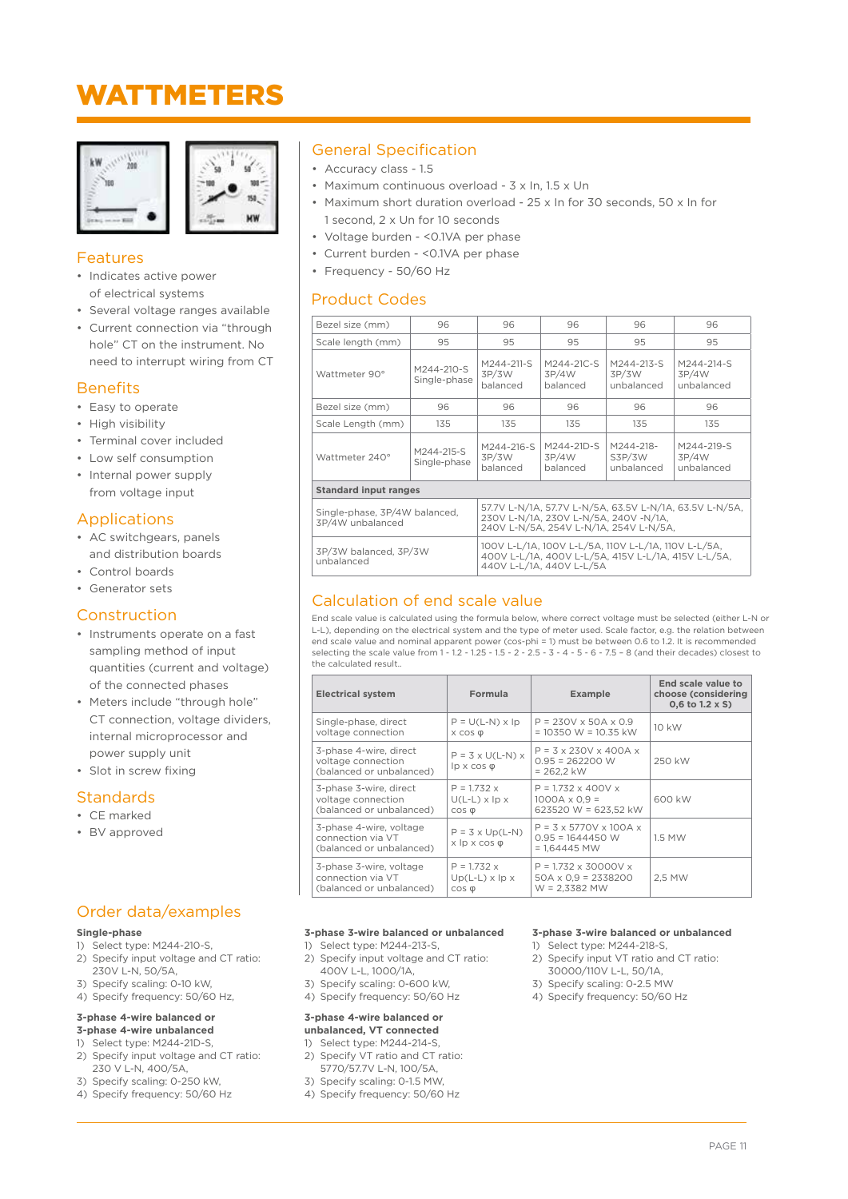### WATTMETERS





#### Features

- Indicates active power of electrical systems
- Several voltage ranges available
- Current connection via "through hole" CT on the instrument. No need to interrupt wiring from CT

#### **Benefits**

- Easy to operate
- High visibility
- Terminal cover included
- Low self consumption
- Internal power supply from voltage input

#### Applications

- AC switchgears, panels and distribution boards
- Control boards
- Generator sets

#### Construction

- Instruments operate on a fast sampling method of input quantities (current and voltage) of the connected phases
- Meters include "through hole" CT connection, voltage dividers, internal microprocessor and power supply unit
- Slot in screw fixing

#### Standards

- CE marked
- BV approved

#### Order data/examples

#### **Single-phase**

- 1) Select type: M244-210-S, 2) Specify input voltage and CT ratio:
- 230V L-N, 50/5A,
- 3) Specify scaling: 0-10 kW,
- 4) Specify frequency: 50/60 Hz,

#### **3-phase 4-wire balanced or**

#### **3-phase 4-wire unbalanced** 1) Select type: M244-21D-S,

- 2) Specify input voltage and CT ratio: 230 V L-N, 400/5A,
- 3) Specify scaling: 0-250 kW,
- 4) Specify frequency: 50/60 Hz

#### General Specification

- Accuracy class 1.5
- Maximum continuous overload 3 x In, 1.5 x Un
- Maximum short duration overload 25 x In for 30 seconds, 50 x In for 1 second, 2 x Un for 10 seconds
- Voltage burden <0.1VA per phase
- Current burden <0.1VA per phase
- Frequency 50/60 Hz

#### Product Codes

| Bezel size (mm)                                                                                                                                                                                 | 96                         | 96                                                                                                                                     | 96                              | 96                                | 96                                |
|-------------------------------------------------------------------------------------------------------------------------------------------------------------------------------------------------|----------------------------|----------------------------------------------------------------------------------------------------------------------------------------|---------------------------------|-----------------------------------|-----------------------------------|
| Scale length (mm)                                                                                                                                                                               | 95                         | 95                                                                                                                                     | 95                              | 95                                | 95                                |
| Wattmeter 90°                                                                                                                                                                                   | M244-210-S<br>Single-phase | M244-211-S<br>3P/3W<br>balanced                                                                                                        | M244-21C-S<br>3P/4W<br>balanced | M244-213-S<br>3P/3W<br>unbalanced | M244-214-S<br>3P/4W<br>unbalanced |
| Bezel size (mm)                                                                                                                                                                                 | 96                         | 96                                                                                                                                     | 96                              | 96                                | 96                                |
| Scale Length (mm)                                                                                                                                                                               | 135                        | 135                                                                                                                                    | 135                             | 135                               | 135                               |
| Wattmeter 240°                                                                                                                                                                                  | M244-215-S<br>Single-phase | M244-216-S<br>3P/3W<br>balanced                                                                                                        | M244-21D-S<br>3P/4W<br>balanced | M244-218-<br>S3P/3W<br>unbalanced | M244-219-S<br>3P/4W<br>unbalanced |
| <b>Standard input ranges</b>                                                                                                                                                                    |                            |                                                                                                                                        |                                 |                                   |                                   |
| 57.7V L-N/1A, 57.7V L-N/5A, 63.5V L-N/1A, 63.5V L-N/5A,<br>Single-phase, 3P/4W balanced,<br>230V L-N/1A, 230V L-N/5A, 240V -N/1A,<br>3P/4W unbalanced<br>240V L-N/5A, 254V L-N/1A, 254V L-N/5A, |                            |                                                                                                                                        |                                 |                                   |                                   |
| 3P/3W balanced, 3P/3W<br>unbalanced                                                                                                                                                             |                            | 100V L-L/1A, 100V L-L/5A, 110V L-L/1A, 110V L-L/5A,<br>400V L-L/1A, 400V L-L/5A, 415V L-L/1A, 415V L-L/5A,<br>440V L-L/1A, 440V L-L/5A |                                 |                                   |                                   |

#### Calculation of end scale value

End scale value is calculated using the formula below, where correct voltage must be selected (either L-N or L-L), depending on the electrical system and the type of meter used. Scale factor, e.g. the relation between end scale value and nominal apparent power (cos-phi = 1) must be between 0.6 to 1.2. It is recommended selecting the scale value from 1 - 1.2 - 1.25 - 1.5 - 2 - 2.5 - 3 - 4 - 5 - 6 - 7.5 – 8 (and their decades) closest to the calculated result..

| <b>Electrical system</b>                                                 | Formula                                                       | <b>Example</b>                                                                  | End scale value to<br>choose (considering<br>$0,6$ to 1.2 x S) |
|--------------------------------------------------------------------------|---------------------------------------------------------------|---------------------------------------------------------------------------------|----------------------------------------------------------------|
| Single-phase, direct                                                     | $P = U(L-N) \times Ip$                                        | $P = 230V \times 50A \times 0.9$                                                | 10 kW                                                          |
| voltage connection                                                       | $X$ COS $\phi$                                                | $= 10350 W = 10.35 kW$                                                          |                                                                |
| 3-phase 4-wire, direct<br>voltage connection<br>(balanced or unbalanced) | $P = 3 \times U(L-N) \times$<br>$lp \times cos \varphi$       | $P = 3 \times 230V \times 400A \times$<br>$0.95 = 262200$ W<br>$= 262.2$ kW     | 250 kW                                                         |
| 3-phase 3-wire, direct                                                   | $P = 1.732 x$                                                 | $P = 1.732 \times 400V x$                                                       | 600 kW                                                         |
| voltage connection                                                       | $U(L-L) \times$ lp $\times$                                   | $1000A \times 0.9 =$                                                            |                                                                |
| (balanced or unbalanced)                                                 | $\cos \phi$                                                   | 623520 W = 623.52 kW                                                            |                                                                |
| 3-phase 4-wire, voltage<br>connection via VT<br>(balanced or unbalanced) | $P = 3 \times Up(L-N)$<br>$x \not\vert p \times \cos \varphi$ | $P = 3 \times 5770V \times 100A \times$<br>$0.95 = 1644450$ W<br>$= 1.64445$ MW | 1.5 MW                                                         |
| 3-phase 3-wire, voltage                                                  | $P = 1.732 x$                                                 | $P = 1.732 \times 30000V \times$                                                | 2.5 MW                                                         |
| connection via VT                                                        | $Up(L-L) \times lp \times$                                    | $50A \times 0.9 = 2338200$                                                      |                                                                |
| (balanced or unbalanced)                                                 | $\cos \phi$                                                   | $W = 2.3382$ MW                                                                 |                                                                |

#### **3-phase 3-wire balanced or unbalanced**

- 1) Select type: M244-213-S,
- 2) Specify input voltage and CT ratio: 400V L-L, 1000/1A,
- 3) Specify scaling: 0-600 kW,
- 4) Specify frequency: 50/60 Hz

#### **3-phase 4-wire balanced or unbalanced, VT connected**

- 1) Select type: M244-214-S, 2) Specify VT ratio and CT ratio:
	- 5770/57.7V L-N, 100/5A,
- 3) Specify scaling: 0-1.5 MW,
- 4) Specify frequency: 50/60 Hz

#### **3-phase 3-wire balanced or unbalanced**

- 1) Select type: M244-218-S, 2) Specify input VT ratio and CT ratio:
- 30000/110V L-L, 50/1A,
- 3) Specify scaling: 0-2.5 MW
- 4) Specify frequency: 50/60 Hz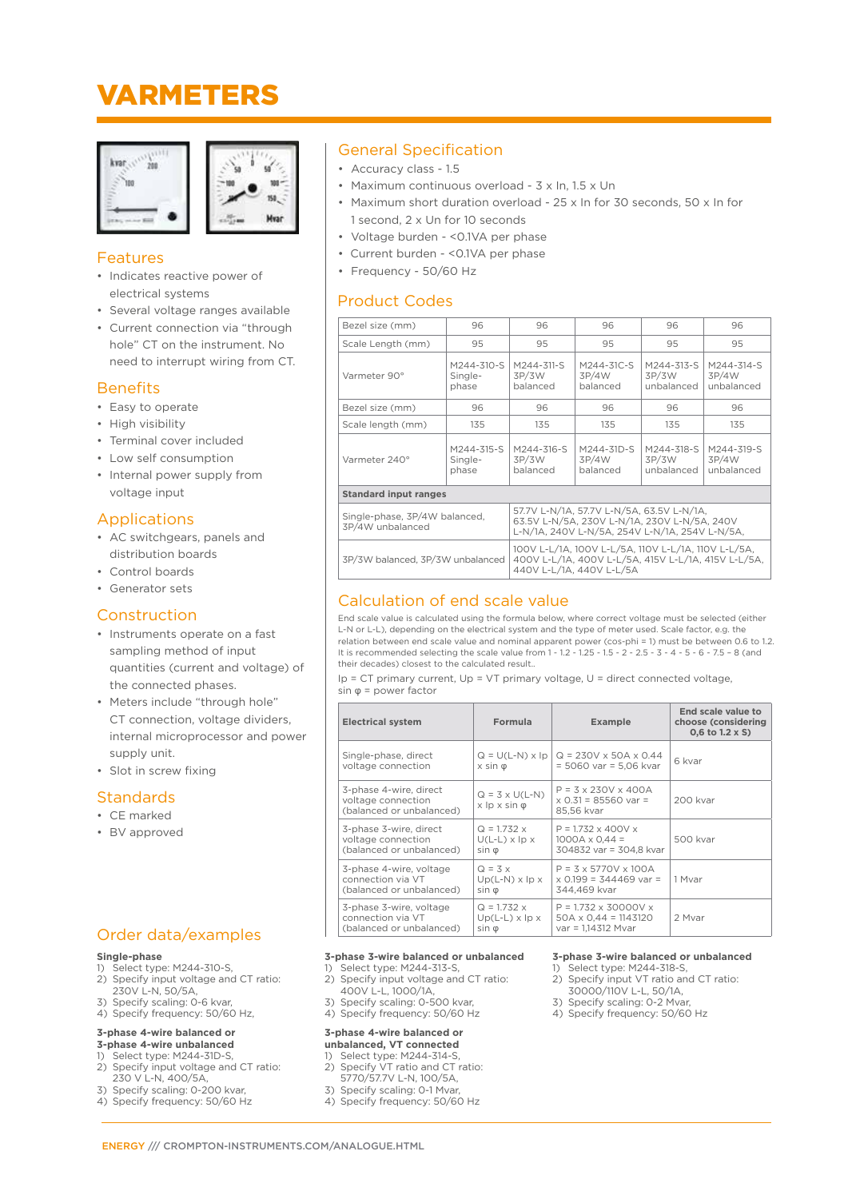### VARMETERS





#### Features

- Indicates reactive power of electrical systems
- Several voltage ranges available
- Current connection via "through hole" CT on the instrument. No need to interrupt wiring from CT.

#### **Benefits**

- Easy to operate
- High visibility
- Terminal cover included
- Low self consumption
- Internal power supply from voltage input

#### Applications

- AC switchgears, panels and distribution boards
- Control boards
- Generator sets

#### Construction

- Instruments operate on a fast sampling method of input quantities (current and voltage) of the connected phases.
- Meters include "through hole" CT connection, voltage dividers, internal microprocessor and power supply unit.
- Slot in screw fixing

#### **Standards**

#### • CE marked

• BV approved

#### Order data/examples

- **Single-phase**
- 1) Select type: M244-310-S, 2) Specify input voltage and CT ratio:
- 230V L-N, 50/5A,
- 3) Specify scaling: 0-6 kvar,
- 4) Specify frequency: 50/60 Hz,

#### **3-phase 4-wire balanced or 3-phase 4-wire unbalanced**

- Select type: M244-31D-S.
- 2) Specify input voltage and CT ratio: 230 V L-N, 400/5A,
- 3) Specify scaling: 0-200 kvar,
- 4) Specify frequency: 50/60 Hz

#### General Specification

- Accuracy class 1.5
- Maximum continuous overload 3 x In, 1.5 x Un
- Maximum short duration overload 25 x In for 30 seconds, 50 x In for 1 second, 2 x Un for 10 seconds
- Voltage burden <0.1VA per phase
- Current burden <0.1VA per phase
- Frequency 50/60 Hz

#### Product Codes

| Bezel size (mm)                                   | 96                                                                                                                                          | 96                                                                 | 96                              | 96                                | 96                                |
|---------------------------------------------------|---------------------------------------------------------------------------------------------------------------------------------------------|--------------------------------------------------------------------|---------------------------------|-----------------------------------|-----------------------------------|
| Scale Length (mm)                                 | 95                                                                                                                                          | 95                                                                 | 95                              | 95                                | 95                                |
| M244-310-S<br>Varmeter 90°<br>Single-<br>phase    |                                                                                                                                             | M244-311-S<br>3P/3W<br>balanced                                    | M244-31C-S<br>3P/4W<br>balanced | M244-313-S<br>3P/3W<br>unbalanced | M244-314-S<br>3P/4W<br>unbalanced |
| Bezel size (mm)                                   | 96                                                                                                                                          | 96                                                                 | 96                              | 96                                | 96                                |
| Scale length (mm)                                 | 135                                                                                                                                         | 135                                                                | 135                             | 135                               | 135                               |
| Varmeter 240°                                     | M244-315-S<br>Single-<br>phase                                                                                                              | M244-316-S<br>M244-31D-S<br>3P/3W<br>3P/4W<br>balanced<br>balanced |                                 | M244-318-S<br>3P/3W<br>unbalanced | M244-319-S<br>3P/4W<br>unbalanced |
| <b>Standard input ranges</b>                      |                                                                                                                                             |                                                                    |                                 |                                   |                                   |
| Single-phase, 3P/4W balanced,<br>3P/4W unbalanced | 57.7V L-N/1A, 57.7V L-N/5A, 63.5V L-N/1A,<br>63.5V L-N/5A, 230V L-N/1A, 230V L-N/5A, 240V<br>L-N/1A, 240V L-N/5A, 254V L-N/1A, 254V L-N/5A, |                                                                    |                                 |                                   |                                   |
| 3P/3W balanced, 3P/3W unbalanced                  | 100V L-L/1A, 100V L-L/5A, 110V L-L/1A, 110V L-L/5A,<br>400V L-L/1A, 400V L-L/5A, 415V L-L/1A, 415V L-L/5A,<br>440V L-L/1A, 440V L-L/5A      |                                                                    |                                 |                                   |                                   |

#### Calculation of end scale value

End scale value is calculated using the formula below, where correct voltage must be selected (either L-N or L-L), depending on the electrical system and the type of meter used. Scale factor, e.g. the relation between end scale value and nominal apparent power (cos-phi = 1) must be between 0.6 to 1.2. It is recommended selecting the scale value from 1 - 1.2 - 1.25 - 1.5 - 2 - 2.5 - 3 - 4 - 5 - 6 - 7.5 – 8 (and their decades) closest to the calculated result..

Ip = CT primary current, Up = VT primary voltage, U = direct connected voltage, sin φ = power factor

| <b>Electrical system</b>                                                 | Formula                                                 | <b>Example</b>                                                          | End scale value to<br>choose (considering<br>$0.6$ to $1.2 \times S$ ) |
|--------------------------------------------------------------------------|---------------------------------------------------------|-------------------------------------------------------------------------|------------------------------------------------------------------------|
| Single-phase, direct                                                     | $Q = U(L-N) \times lp$                                  | $Q = 230V \times 50A \times 0.44$                                       | 6 kvar                                                                 |
| voltage connection                                                       | $x \sin \varphi$                                        | $= 5060$ var $= 5.06$ kvar                                              |                                                                        |
| 3-phase 4-wire, direct<br>voltage connection<br>(balanced or unbalanced) | $Q = 3 \times U(L-N)$<br>$x \not\vert p x \sin \varphi$ | $P = 3 \times 230V \times 400A$<br>$x$ 0.31 = 85560 var =<br>85.56 kvar | 200 kvar                                                               |
| 3-phase 3-wire, direct                                                   | $Q = 1.732 x$                                           | $P = 1.732 \times 400V x$                                               | 500 kvar                                                               |
| voltage connection                                                       | $U(L-L) \times$ lp $\times$                             | $1000A \times 0.44 =$                                                   |                                                                        |
| (balanced or unbalanced)                                                 | $sin \phi$                                              | 304832 var = 304.8 kvar                                                 |                                                                        |
| 3-phase 4-wire, voltage                                                  | $Q = 3x$                                                | $P = 3 \times 5770V \times 100A$                                        | 1 Mvar                                                                 |
| connection via VT                                                        | $Up(L-N) \times lp \times$                              | $x$ 0.199 = 344469 var =                                                |                                                                        |
| (balanced or unbalanced)                                                 | $sin \phi$                                              | 344.469 kvar                                                            |                                                                        |
| 3-phase 3-wire, voltage                                                  | $Q = 1.732 x$                                           | $P = 1.732 \times 30000V \times$                                        | 2 Mvar                                                                 |
| connection via VT                                                        | $Up(L-L) \times lp \times$                              | $50A \times 0.44 = 1143120$                                             |                                                                        |
| (balanced or unbalanced)                                                 | $sin \phi$                                              | $var = 1,14312$ Mvar                                                    |                                                                        |

#### **3-phase 3-wire balanced or unbalanced**

- 1) Select type: M244-313-S, 2) Specify input voltage and CT ratio:
- 400V L-L, 1000/1A, 3) Specify scaling: 0-500 kvar,
- 4) Specify frequency: 50/60 Hz

#### **3-phase 4-wire balanced or unbalanced, VT connected**

- 1) Select type: M244-314-S,
- 2) Specify VT ratio and CT ratio:
- 5770/57.7V L-N, 100/5A,
- 3) Specify scaling: 0-1 Mvar, 4) Specify frequency: 50/60 Hz

#### **3-phase 3-wire balanced or unbalanced**

- 1) Select type: M244-318-S, 2) Specify input VT ratio and CT ratio:
- 30000/110V L-L, 50/1A, 3) Specify scaling: 0-2 Mvar,
- 4) Specify frequency: 50/60 Hz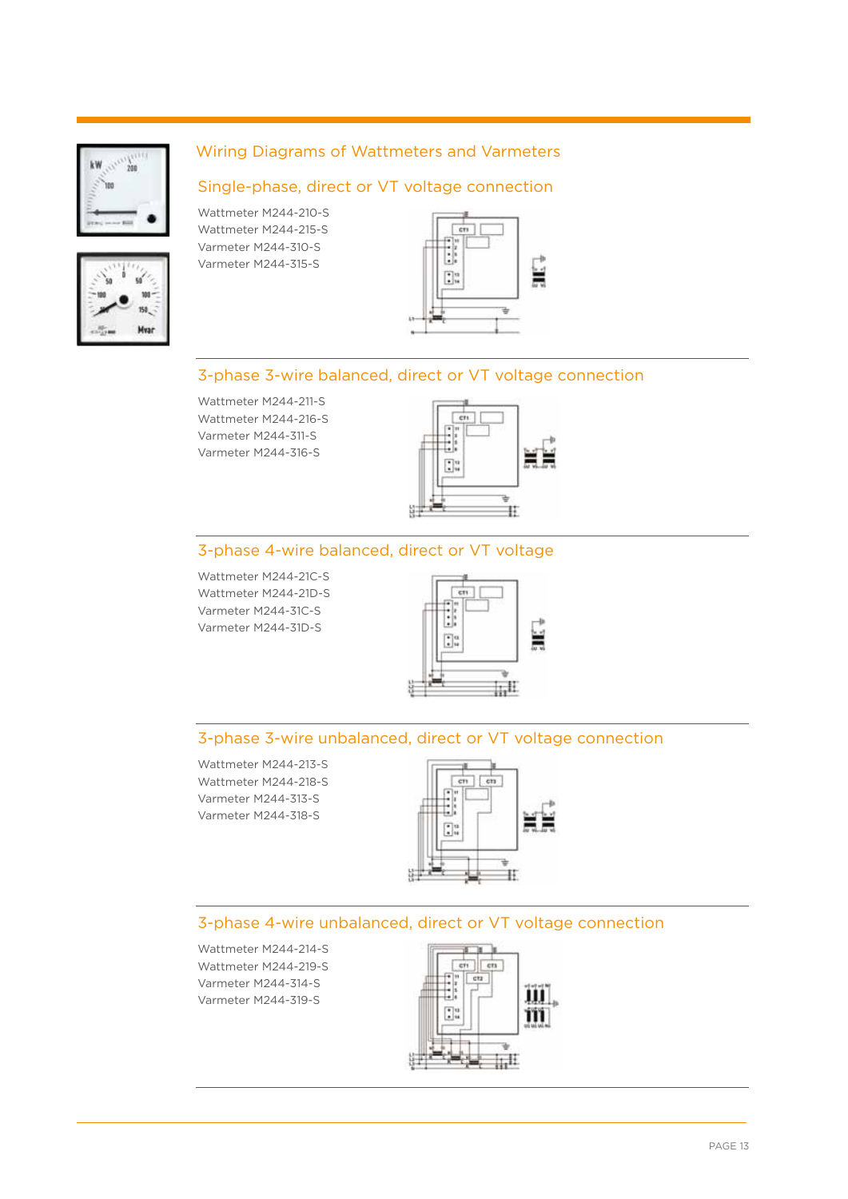



#### Wiring Diagrams of Wattmeters and Varmeters

#### Single-phase, direct or VT voltage connection

Wattmeter M244-210-S Wattmeter M244-215-S Varmeter M244-310-S Varmeter M244-315-S



#### 3-phase 3-wire balanced, direct or VT voltage connection

Wattmeter M244-211-S Wattmeter M244-216-S Varmeter M244-311-S Varmeter M244-316-S



#### 3-phase 4-wire balanced, direct or VT voltage

Wattmeter M244-21C-S Wattmeter M244-21D-S Varmeter M244-31C-S Varmeter M244-31D-S



#### 3-phase 3-wire unbalanced, direct or VT voltage connection

Wattmeter M244-213-S Wattmeter M244-218-S Varmeter M244-313-S Varmeter M244-318-S



#### 3-phase 4-wire unbalanced, direct or VT voltage connection

Wattmeter M244-214-S Wattmeter M244-219-S Varmeter M244-314-S Varmeter M244-319-S



PAGE 13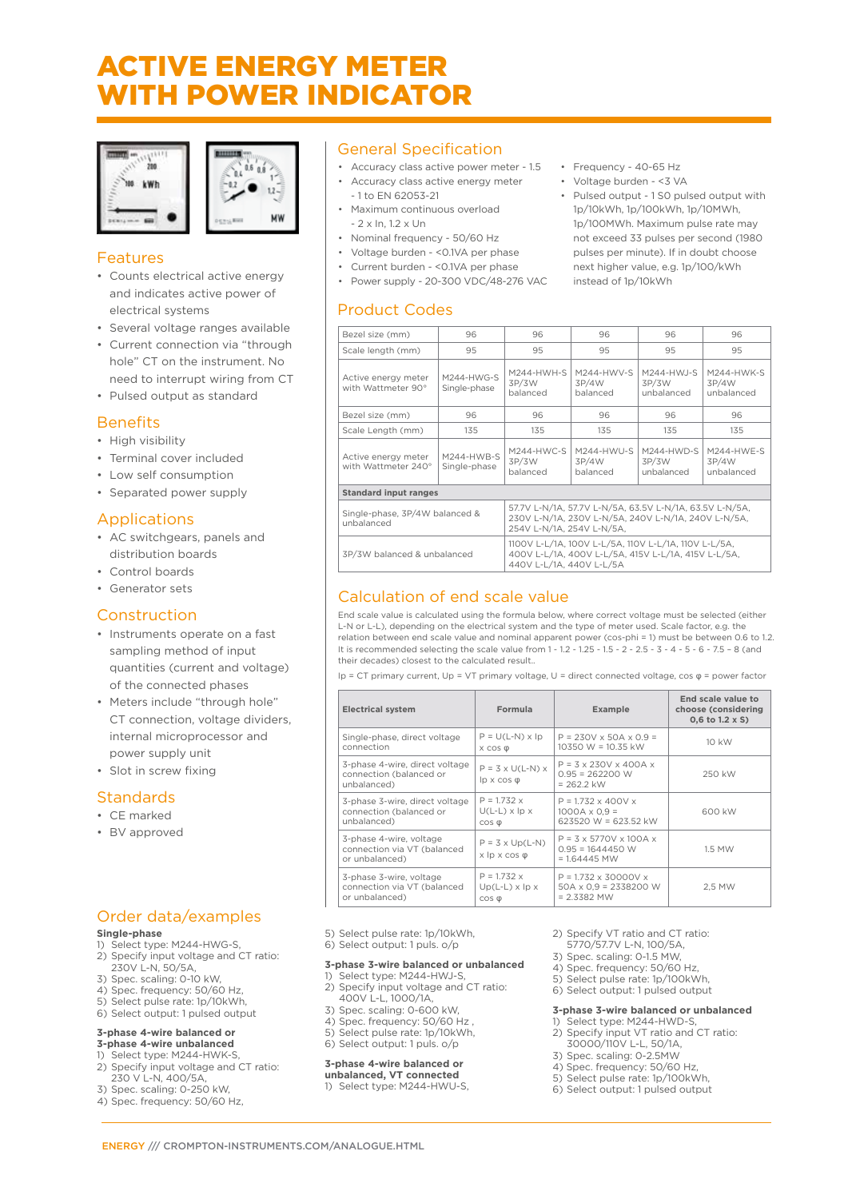### ACTIVE ENERGY METER WITH POWER INDICATOR

**MW** 



#### Features

- Counts electrical active energy and indicates active power of electrical systems
- Several voltage ranges available
- Current connection via "through hole" CT on the instrument. No need to interrupt wiring from CT
- Pulsed output as standard

#### **Benefits**

- High visibility
- Terminal cover included
- Low self consumption
- Separated power supply

#### Applications

- AC switchgears, panels and distribution boards
- Control boards
- Generator sets

#### Construction

- Instruments operate on a fast sampling method of input quantities (current and voltage) of the connected phases
- Meters include "through hole" CT connection, voltage dividers, internal microprocessor and power supply unit
- Slot in screw fixing

#### **Standards**

#### • CE marked

• BV approved

#### Order data/examples

#### **Single-phase**

- 1) Select type: M244-HWG-S, 2) Specify input voltage and CT ratio: 230V L-N, 50/5A,
- 3) Spec. scaling: 0-10 kW,
- 4) Spec. frequency: 50/60 Hz,
- 5) Select pulse rate: 1p/10kWh,
- 6) Select output: 1 pulsed output

#### **3-phase 4-wire balanced or 3-phase 4-wire unbalanced**

- 1) Select type: M244-HWK-S,
- 2) Specify input voltage and CT ratio: 230 V L-N, 400/5A,
- 3) Spec. scaling: 0-250 kW,
- 4) Spec. frequency: 50/60 Hz,

#### General Specification

- Accuracy class active power meter 1.5 Accuracy class active energy meter
- 1 to EN 62053-21
- Maximum continuous overload - 2 x In, 1.2 x Un
- Nominal frequency 50/60 Hz
- Voltage burden <0.1VA per phase
- Current burden <0.1VA per phase
- Power supply 20-300 VDC/48-276 VAC

#### Product Codes

- Frequency 40-65 Hz
- Voltage burden <3 VA
- Pulsed output 1 S0 pulsed output with 1p/10kWh, 1p/100kWh, 1p/10MWh, 1p/100MWh. Maximum pulse rate may not exceed 33 pulses per second (1980 pulses per minute). If in doubt choose next higher value, e.g. 1p/100/kWh instead of 1p/10kWh

| Bezel size (mm)                              | 96                         | 96                                                                                                                                          | 96                                | 96                                   | 96                                  |  |  |
|----------------------------------------------|----------------------------|---------------------------------------------------------------------------------------------------------------------------------------------|-----------------------------------|--------------------------------------|-------------------------------------|--|--|
| Scale length (mm)                            | 95                         | 95                                                                                                                                          | 95                                | 95                                   | 95                                  |  |  |
| Active energy meter<br>with Wattmeter 90°    | M244-HWG-S<br>Single-phase | M244-HWH-S<br>3P/3W<br>balanced                                                                                                             | $M244-HWV-S$<br>3P/4W<br>balanced | $M244-HW.I-S$<br>3P/3W<br>unbalanced | M244-HWK-S<br>3P/4W<br>unbalanced   |  |  |
| Bezel size (mm)                              | 96                         | 96                                                                                                                                          | 96                                | 96                                   | 96                                  |  |  |
| Scale Length (mm)                            | 135                        | 135                                                                                                                                         | 135                               | 135                                  | 135                                 |  |  |
| Active energy meter<br>with Wattmeter 240°   | M244-HWB-S<br>Single-phase | $M244-HWC-S$<br>3P/3W<br>balanced                                                                                                           | M244-HWU-S<br>3P/4W<br>balanced   | $M244-HWD-S$<br>3P/3W<br>unbalanced  | $M244-HWE-S$<br>3P/4W<br>unbalanced |  |  |
| <b>Standard input ranges</b>                 |                            |                                                                                                                                             |                                   |                                      |                                     |  |  |
| Single-phase, 3P/4W balanced &<br>unbalanced |                            | 57.7V L-N/1A, 57.7V L-N/5A, 63.5V L-N/1A, 63.5V L-N/5A,<br>230V L-N/1A, 230V L-N/5A, 240V L-N/1A, 240V L-N/5A,<br>254V L-N/1A, 254V L-N/5A, |                                   |                                      |                                     |  |  |
| 3P/3W balanced & unbalanced                  |                            | 1100V L-L/1A, 100V L-L/5A, 110V L-L/1A, 110V L-L/5A,<br>400V L-L/1A, 400V L-L/5A, 415V L-L/1A, 415V L-L/5A,<br>440V L-L/1A, 440V L-L/5A     |                                   |                                      |                                     |  |  |

#### Calculation of end scale value

End scale value is calculated using the formula below, where correct voltage must be selected (either L-N or L-L), depending on the electrical system and the type of meter used. Scale factor, e.g. the relation between end scale value and nominal apparent power (cos-phi = 1) must be between 0.6 to 1.2. It is recommended selecting the scale value from 1 - 1.2 - 1.25 - 1.5 - 2 - 2.5 - 3 - 4 - 5 - 6 - 7.5 – 8 (and their decades) closest to the calculated result..

Ip = CT primary current, Up = VT primary voltage, U = direct connected voltage, cos φ = power factor

| <b>Electrical system</b>                                                 | Formula                                                       | <b>Example</b>                                                                  | End scale value to<br>choose (considering<br>0,6 to 1.2 x S) |
|--------------------------------------------------------------------------|---------------------------------------------------------------|---------------------------------------------------------------------------------|--------------------------------------------------------------|
| Single-phase, direct voltage                                             | $P = U(L-N) \times lp$                                        | $P = 230V \times 50A \times 0.9 =$                                              | 10 kW                                                        |
| connection                                                               | $X$ COS $\phi$                                                | $10350 W = 10.35 kW$                                                            |                                                              |
| 3-phase 4-wire, direct voltage<br>connection (balanced or<br>unbalanced) | $P = 3 \times U(L-N) \times$<br>$lp \times cos \varphi$       | $P = 3 \times 230V \times 400A \times$<br>$0.95 = 262200$ W<br>$= 262.2$ kW     | 250 kW                                                       |
| 3-phase 3-wire, direct voltage                                           | $P = 1.732 x$                                                 | $P = 1.732 \times 400V x$                                                       | 600 kW                                                       |
| connection (balanced or                                                  | $U(L-L) \times$ lp $\times$                                   | $1000A \times 0.9 =$                                                            |                                                              |
| unbalanced)                                                              | $\cos \varphi$                                                | 623520 W = 623.52 kW                                                            |                                                              |
| 3-phase 4-wire, voltage<br>connection via VT (balanced<br>or unbalanced) | $P = 3 \times Up(L-N)$<br>$x \not\vert p \times \cos \varphi$ | $P = 3 \times 5770V \times 100A \times$<br>$0.95 = 1644450$ W<br>$= 1.64445$ MW | 1.5 MW                                                       |
| 3-phase 3-wire, voltage                                                  | $P = 1.732 x$                                                 | $P = 1.732 \times 30000V \times$                                                | 2,5 MW                                                       |
| connection via VT (balanced                                              | $Up(L-L) \times lp \times$                                    | $50A \times 0.9 = 2338200$ W                                                    |                                                              |
| or unbalanced)                                                           | $\cos \varphi$                                                | $= 2.3382$ MW                                                                   |                                                              |

- 5) Select pulse rate: 1p/10kWh,
- 6) Select output: 1 puls. o/p

#### **3-phase 3-wire balanced or unbalanced**

- -<br>Select type: M244-HWJ-S, 2) Specify input voltage and CT ratio:
- 400V L-L, 1000/1A,
- 3) Spec. scaling: 0-600 kW,
- 4) Spec. frequency: 50/60 Hz , 5) Select pulse rate: 1p/10kWh,
- 6) Select output: 1 puls. o/p

#### **3-phase 4-wire balanced or**

- **unbalanced, VT connected**
- 1) Select type: M244-HWU-S,
- 2) Specify VT ratio and CT ratio:
- 5770/57.7V L-N, 100/5A, 3) Spec. scaling: 0-1.5 MW,
- 4) Spec. frequency: 50/60 Hz,
- 5) Select pulse rate: 1p/100kWh,
- 6) Select output: 1 pulsed output

#### **3-phase 3-wire balanced or unbalanced**

- 1) Select type: M244-HWD-S 2) Specify input VT ratio and CT ratio:
- 30000/110V L-L, 50/1A,
- $3)$  Spec. scaling: 0-2.5MW
- 4) Spec. frequency: 50/60 Hz, 5) Select pulse rate: 1p/100kWh,
- 6) Select output: 1 pulsed output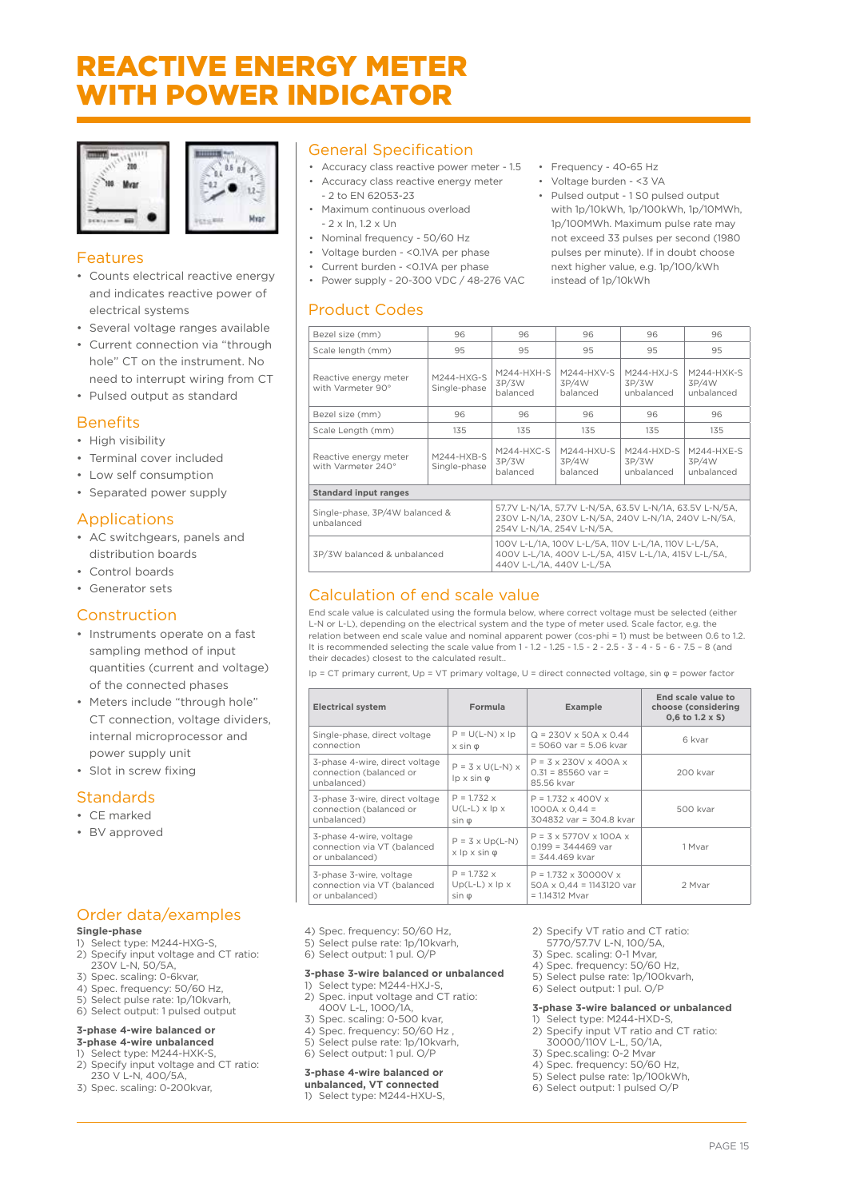### REACTIVE ENERGY METER WITH POWER INDICATOR





#### Features

- Counts electrical reactive energy and indicates reactive power of electrical systems
- Several voltage ranges available
- Current connection via "through hole" CT on the instrument. No need to interrupt wiring from CT
- Pulsed output as standard

#### **Benefits**

- High visibility
- Terminal cover included
- Low self consumption
- Separated power supply

#### Applications

- AC switchgears, panels and distribution boards
- Control boards
- Generator sets

#### Construction

- Instruments operate on a fast sampling method of input quantities (current and voltage) of the connected phases
- Meters include "through hole" CT connection, voltage dividers, internal microprocessor and power supply unit
- Slot in screw fixing

#### Standards

#### • CE marked

• BV approved

### Order data/examples

#### **Single-phase**

- 1) Select type: M244-HXG-S, 2) Specify input voltage and CT ratio: 230V L-N, 50/5A,
- 3) Spec. scaling: 0-6kvar,
- 4) Spec. frequency: 50/60 Hz,
- 5) Select pulse rate: 1p/10kvarh,
- 6) Select output: 1 pulsed output

#### **3-phase 4-wire balanced or 3-phase 4-wire unbalanced**

- 1) Select type: M244-HXK-S,
- 2) Specify input voltage and CT ratio:
- 230 V L-N, 400/5A, 3) Spec. scaling: 0-200kvar,

#### General Specification

- Accuracy class reactive power meter 1.5 • Accuracy class reactive energy meter
- 2 to EN 62053-23 • Maximum continuous overload - 2 x In, 1.2 x Un
- Nominal frequency 50/60 Hz
- Voltage burden <0.1VA per phase
- Current burden <0.1VA per phase
- Power supply 20-300 VDC / 48-276 VAC

#### Product Codes

- Frequency 40-65 Hz
- Voltage burden <3 VA
- Pulsed output 1 S0 pulsed output
- with 1p/10kWh, 1p/100kWh, 1p/10MWh, 1p/100MWh. Maximum pulse rate may not exceed 33 pulses per second (1980 pulses per minute). If in doubt choose next higher value, e.g. 1p/100/kWh instead of 1p/10kWh

| Bezel size (mm)                              | 96                         | 96                                                                                                                                          | 96                                | 96                                  | 96                                |  |
|----------------------------------------------|----------------------------|---------------------------------------------------------------------------------------------------------------------------------------------|-----------------------------------|-------------------------------------|-----------------------------------|--|
| Scale length (mm)                            | 95                         | 95                                                                                                                                          | 95                                | 95                                  | 95                                |  |
| Reactive energy meter<br>with Varmeter 90°   | M244-HXG-S<br>Single-phase |                                                                                                                                             | M244-HXV-S<br>3P/4W<br>balanced   | $M244-HXJ-S$<br>3P/3W<br>unbalanced | M244-HXK-S<br>3P/4W<br>unbalanced |  |
| Bezel size (mm)                              | 96                         | 96                                                                                                                                          | 96                                | 96                                  | 96                                |  |
| Scale Length (mm)                            | 135                        | 135                                                                                                                                         | 135                               | 135                                 | 135                               |  |
| Reactive energy meter<br>with Varmeter 240°  | M244-HXB-S<br>Single-phase | $M244-HXC-S$<br>3P/3W<br>balanced                                                                                                           | $M244-HXU-S$<br>3P/4W<br>balanced | $M244-HXD-S$<br>3P/3W<br>unbalanced | M244-HXE-S<br>3P/4W<br>unbalanced |  |
| <b>Standard input ranges</b>                 |                            |                                                                                                                                             |                                   |                                     |                                   |  |
| Single-phase, 3P/4W balanced &<br>unbalanced |                            | 57.7V L-N/1A, 57.7V L-N/5A, 63.5V L-N/1A, 63.5V L-N/5A,<br>230V L-N/1A, 230V L-N/5A, 240V L-N/1A, 240V L-N/5A,<br>254V L-N/1A, 254V L-N/5A, |                                   |                                     |                                   |  |
| 3P/3W balanced & unbalanced                  |                            | 100V L-L/1A, 100V L-L/5A, 110V L-L/1A, 110V L-L/5A,<br>400V L-L/1A, 400V L-L/5A, 415V L-L/1A, 415V L-L/5A,<br>440V L-L/1A, 440V L-L/5A      |                                   |                                     |                                   |  |

#### Calculation of end scale value

End scale value is calculated using the formula below, where correct voltage must be selected (either L-N or L-L), depending on the electrical system and the type of meter used. Scale factor, e.g. the relation between end scale value and nominal apparent power (cos-phi = 1) must be between 0.6 to 1.2. It is recommended selecting the scale value from 1 - 1.2 - 1.25 - 1.5 - 2 - 2.5 - 3 - 4 - 5 - 6 - 7.5 – 8 (and their decades) closest to the calculated result..

Ip = CT primary current, Up = VT primary voltage, U = direct connected voltage, sin φ = power factor

| <b>Electrical system</b>                                                 | Formula                                                 | Example                                                                             | End scale value to<br>choose (considering<br>0,6 to 1.2 x S) |
|--------------------------------------------------------------------------|---------------------------------------------------------|-------------------------------------------------------------------------------------|--------------------------------------------------------------|
| Single-phase, direct voltage                                             | $P = U(L-N) \times lp$                                  | $Q = 230V \times 50A \times 0.44$                                                   | 6 kvar                                                       |
| connection                                                               | $x \sin \theta$                                         | $= 5060$ var $= 5.06$ kvar                                                          |                                                              |
| 3-phase 4-wire, direct voltage<br>connection (balanced or<br>unbalanced) | $P = 3 \times U(L-N) \times$<br>$lp \times sin \varphi$ | $P = 3 \times 230V \times 400A \times$<br>$0.31 = 85560$ var =<br>85.56 kvar        | 200 kvar                                                     |
| 3-phase 3-wire, direct voltage                                           | $P = 1.732 x$                                           | $P = 1.732 \times 400V x$                                                           | 500 kvar                                                     |
| connection (balanced or                                                  | $U(L-L) \times$ lp $\times$                             | $1000A \times 0.44 =$                                                               |                                                              |
| unbalanced)                                                              | $sin \phi$                                              | 304832 var = 304.8 kvar                                                             |                                                              |
| 3-phase 4-wire, voltage<br>connection via VT (balanced<br>or unbalanced) | $P = 3 \times Up(L-N)$<br>$x \not\vdash x \sin \varphi$ | $P = 3 \times 5770V \times 100A \times$<br>$0.199 = 344469$ var<br>$= 344.469$ kvar | 1 Myar                                                       |
| 3-phase 3-wire, voltage                                                  | $P = 1.732 x$                                           | $P = 1.732 \times 30000V \times$                                                    | 2 Mvar                                                       |
| connection via VT (balanced                                              | $Up(L-L) \times lp \times$                              | $50A \times 0.44 = 1143120$ var                                                     |                                                              |
| or unbalanced)                                                           | $sin \phi$                                              | $= 1.14312$ Myar                                                                    |                                                              |

- 4) Spec. frequency: 50/60 Hz,
- 5) Select pulse rate: 1p/10kvarh,
- 6) Select output: 1 pul. O/P

#### **3-phase 3-wire balanced or unbalanced**

- 1) Select type: M244-HXJ-S, 2) Spec. input voltage and CT ratio: 400V L-L, 1000/1A,
- 3) Spec. scaling: 0-500 kvar,
- 4) Spec. frequency: 50/60 Hz
- 5) Select pulse rate: 1p/10kvarh, 6) Select output: 1 pul. O/P

#### **3-phase 4-wire balanced or**

#### **unbalanced, VT connected**

1) Select type: M244-HXU-S,

- 2) Specify VT ratio and CT ratio:
- 5770/57.7V L-N, 100/5A,
- 3) Spec. scaling: 0-1 Mvar,
- 4) Spec. frequency: 50/60 Hz,
- 5) Select pulse rate: 1p/100kvarh, 6) Select output: 1 pul. O/P

#### **3-phase 3-wire balanced or unbalanced**

- 1) Select type: M244-HXD-S, 2) Specify input VT ratio and CT ratio:
- 30000/110V L-L, 50/1A, 3) Spec.scaling: 0-2 Mvar
- 4) Spec. frequency: 50/60 Hz,
- 5) Select pulse rate: 1p/100kWh,
- 6) Select output: 1 pulsed O/P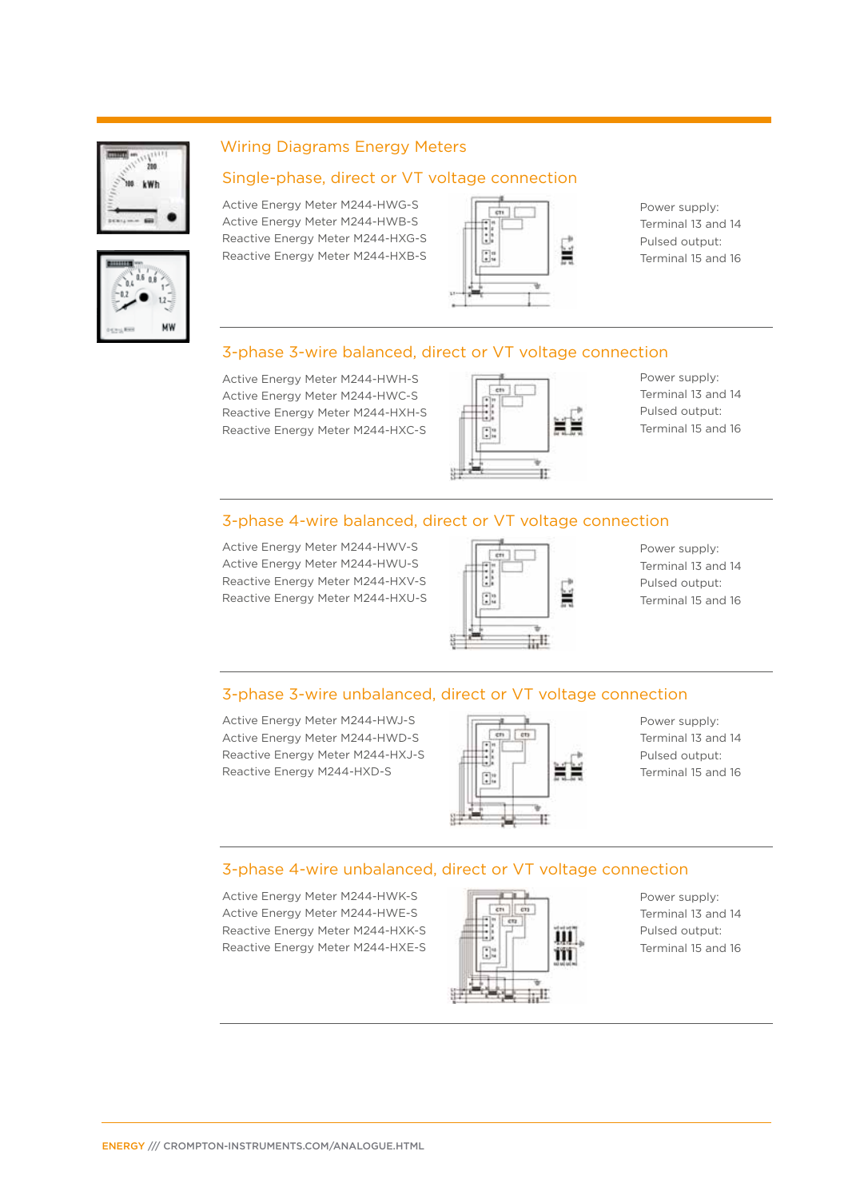



#### Wiring Diagrams Energy Meters

#### Single-phase, direct or VT voltage connection

Active Energy Meter M244-HWG-S Active Energy Meter M244-HWB-S Reactive Energy Meter M244-HXG-S Reactive Energy Meter M244-HXB-S



Power supply: Terminal 13 and 14 Pulsed output: Terminal 15 and 16

#### 3-phase 3-wire balanced, direct or VT voltage connection

Active Energy Meter M244-HWH-S Active Energy Meter M244-HWC-S Reactive Energy Meter M244-HXH-S Reactive Energy Meter M244-HXC-S



Power supply: Terminal 13 and 14 Pulsed output: Terminal 15 and 16

#### 3-phase 4-wire balanced, direct or VT voltage connection

Active Energy Meter M244-HWV-S Active Energy Meter M244-HWU-S Reactive Energy Meter M244-HXV-S Reactive Energy Meter M244-HXU-S



Power supply: Terminal 13 and 14 Pulsed output: Terminal 15 and 16

#### 3-phase 3-wire unbalanced, direct or VT voltage connection

Active Energy Meter M244-HWJ-S Active Energy Meter M244-HWD-S Reactive Energy Meter M244-HXJ-S Reactive Energy M244-HXD-S



Power supply: Terminal 13 and 14 Pulsed output: Terminal 15 and 16

#### 3-phase 4-wire unbalanced, direct or VT voltage connection

Active Energy Meter M244-HWK-S Active Energy Meter M244-HWE-S Reactive Energy Meter M244-HXK-S Reactive Energy Meter M244-HXE-S



Power supply: Terminal 13 and 14 Pulsed output: Terminal 15 and 16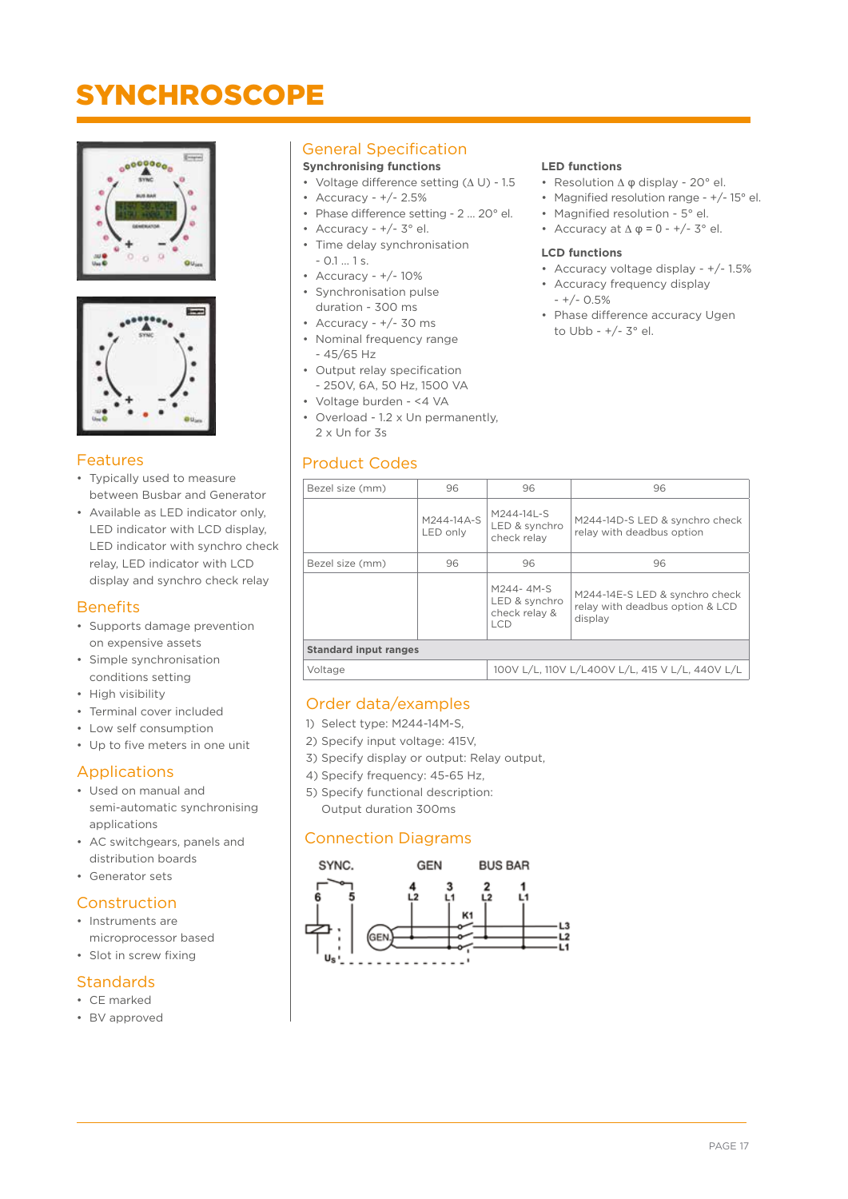### **SYNCHROSCOPE**





#### Features

- Typically used to measure between Busbar and Generator
- Available as LED indicator only, LED indicator with LCD display, LED indicator with synchro check relay, LED indicator with LCD display and synchro check relay

#### **Benefits**

- Supports damage prevention on expensive assets
- Simple synchronisation conditions setting
- High visibility
- Terminal cover included
- Low self consumption
- Up to five meters in one unit

#### Applications

- Used on manual and semi-automatic synchronising applications
- AC switchgears, panels and distribution boards
- Generator sets

#### Construction

- Instruments are microprocessor based
- Slot in screw fixing

#### **Standards**

- CE marked
- BV approved

#### General Specification

#### **Synchronising functions**

- Voltage difference setting (∆ U) 1.5
- Accuracy +/- 2.5%
- Phase difference setting 2 … 20° el.
- Accuracy  $+/- 3^{\circ}$  el. • Time delay synchronisation
- 0.1 … 1 s.
- Accuracy +/- 10%
- Synchronisation pulse duration - 300 ms
- $\cdot$  Accuracy  $+/- 30$  ms
- Nominal frequency range - 45/65 Hz
- Output relay specification - 250V, 6A, 50 Hz, 1500 VA
- Voltage burden <4 VA
- Overload 1.2 x Un permanently, 2 x Un for 3s

#### Product Codes

#### **LED functions**

- Resolution Δ Φ display 20° el.
- Magnified resolution range +/- 15° el.
- Magnified resolution 5° el.
- Accuracy at  $\Delta$   $\varphi$  = 0 +/- 3° el.

#### **LCD functions**

- Accuracy voltage display +/- 1.5%
- Accuracy frequency display - +/- 0.5%
- Phase difference accuracy Ugen to Ubb - +/- 3° el.

| Bezel size (mm)                                            | 96                     | 96                                                  | 96                                                                           |  |  |  |
|------------------------------------------------------------|------------------------|-----------------------------------------------------|------------------------------------------------------------------------------|--|--|--|
|                                                            | M244-14A-S<br>LED only | M244-14L-S<br>LED & synchro<br>check relav          | M244-14D-S LED & synchro check<br>relay with deadbus option                  |  |  |  |
| Bezel size (mm)                                            | 96                     | 96                                                  | 96                                                                           |  |  |  |
|                                                            |                        | M244-4M-S<br>LED & synchro<br>check relay &<br>I CD | M244-14E-S LED & synchro check<br>relay with deadbus option & LCD<br>display |  |  |  |
| <b>Standard input ranges</b>                               |                        |                                                     |                                                                              |  |  |  |
| 100V L/L, 110V L/L400V L/L, 415 V L/L, 440V L/L<br>Voltage |                        |                                                     |                                                                              |  |  |  |
|                                                            |                        |                                                     |                                                                              |  |  |  |

#### Order data/examples

- 1) Select type: M244-14M-S,
- 2) Specify input voltage: 415V,
- 3) Specify display or output: Relay output,
- 4) Specify frequency: 45-65 Hz,
- 5) Specify functional description:
	- Output duration 300ms

#### Connection Diagrams

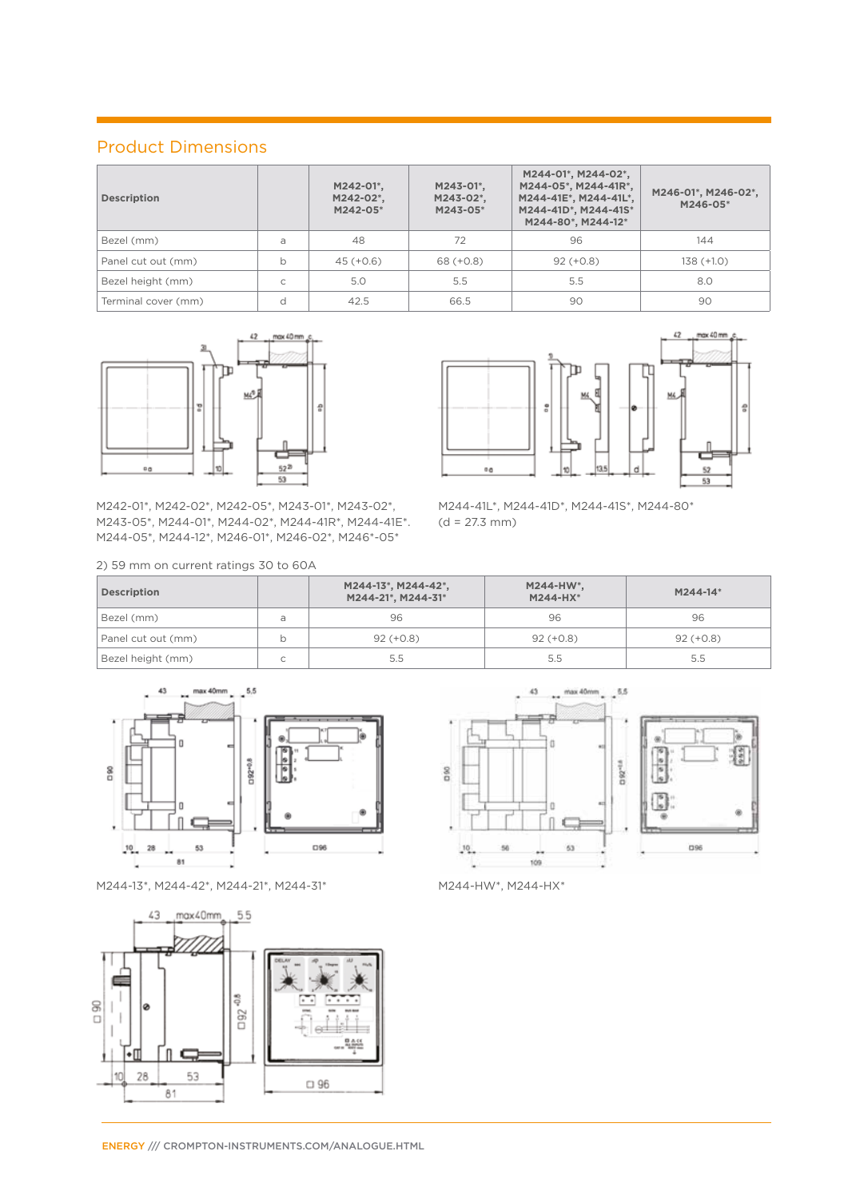#### Product Dimensions

| <b>Description</b>  |   | M242-01*.<br>M242-02*,<br>M242-05* | M243-01*.<br>M243-02*,<br>M243-05* | M244-01*, M244-02*,<br>M244-05*, M244-41R*,<br>M244-41E*, M244-41L*,<br>M244-41D*, M244-41S*<br>M244-80*, M244-12* | M246-01*, M246-02*,<br>M246-05* |
|---------------------|---|------------------------------------|------------------------------------|--------------------------------------------------------------------------------------------------------------------|---------------------------------|
| Bezel (mm)          | a | 48                                 | 72                                 | 96                                                                                                                 | 144                             |
| Panel cut out (mm)  | b | $45 (+0.6)$                        | $68 (+0.8)$                        | $92 (+0.8)$                                                                                                        | $138 (+1.0)$                    |
| Bezel height (mm)   | C | 5.0                                | 5.5                                | 5.5                                                                                                                | 8.0                             |
| Terminal cover (mm) | d | 42.5                               | 66.5                               | 90                                                                                                                 | 90                              |



M242-01\*, M242-02\*, M242-05\*, M243-01\*, M243-02\*, M243-05\*, M244-01\*, M244-02\*, M244-41R\*, M244-41E\*. M244-05\*, M244-12\*, M246-01\*, M246-02\*, M246\*-05\*

2) 59 mm on current ratings 30 to 60A



M244-41L\*, M244-41D\*, M244-41S\*, M244-80\*  $(d = 27.3$  mm)

| <b>Description</b> |             | M244-13*, M244-42*,<br>M244-21*, M244-31* | $M244-HW^*$ ,<br>M244-HX* | M244-14*    |
|--------------------|-------------|-------------------------------------------|---------------------------|-------------|
| Bezel (mm)         | a           | 96                                        | 96                        | 96          |
| Panel cut out (mm) |             | $92 (+0.8)$                               | $92 (+0.8)$               | $92 (+0.8)$ |
| Bezel height (mm)  | $\sim$<br>◡ | 5.5                                       | 5.5                       | 5.5         |



M244-13\*, M244-42\*, M244-21\*, M244-31\* M244-HW\*, M244-HX\*





ß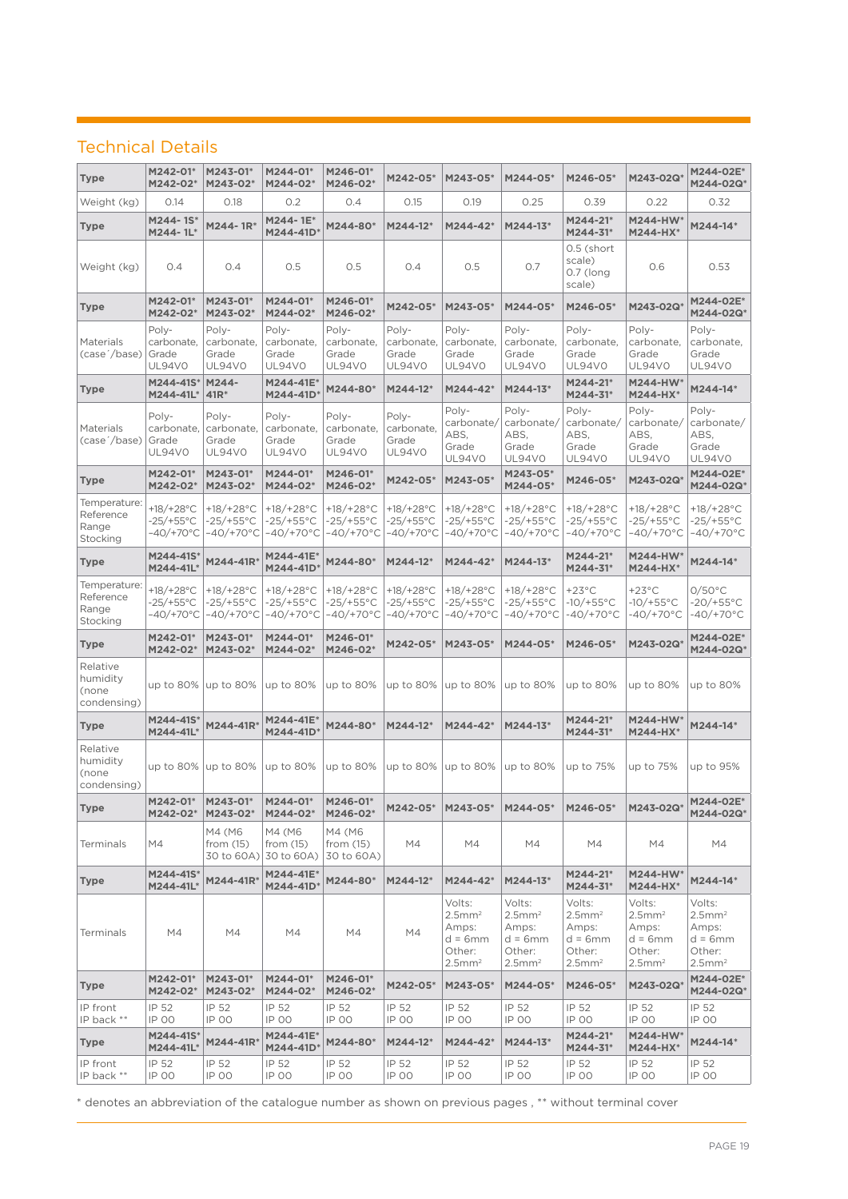#### Technical Details

| Type                                           | M242-01*<br>M242-02*                               | M243-01*<br>M243-02*                                       | M244-01*<br>M244-02*                                       | M246-01*<br>M246-02*                                       | M242-05*                                        | M243-05*                                                                                 | M244-05*                                                                                  | M246-05*                                                                               | M243-02Q*                                                                      | M244-02E*<br>M244-02Q*                                                                    |
|------------------------------------------------|----------------------------------------------------|------------------------------------------------------------|------------------------------------------------------------|------------------------------------------------------------|-------------------------------------------------|------------------------------------------------------------------------------------------|-------------------------------------------------------------------------------------------|----------------------------------------------------------------------------------------|--------------------------------------------------------------------------------|-------------------------------------------------------------------------------------------|
| Weight (kg)                                    | 0.14                                               | 0.18                                                       | 0.2                                                        | O.4                                                        | 0.15                                            | 0.19                                                                                     | 0.25                                                                                      | 0.39                                                                                   | 0.22                                                                           | 0.32                                                                                      |
| <b>Type</b>                                    | M244-1S*<br>M244-1L*                               | M244-1R*                                                   | M244-1E*<br>M244-41D                                       | M244-80*                                                   | M244-12*                                        | M244-42*                                                                                 | M244-13*                                                                                  | M244-21*<br>M244-31*                                                                   | <b>M244-HW*</b><br>M244-HX*                                                    | M244-14*                                                                                  |
| Weight (kg)                                    | O.4                                                | 0.4                                                        | 0.5                                                        | O.5                                                        | 0.4                                             | 0.5                                                                                      | 0.7                                                                                       | 0.5 (short<br>scale)<br>0.7 (long<br>scale)                                            | 0.6                                                                            | 0.53                                                                                      |
| <b>Type</b>                                    | M242-01*<br>M242-02*                               | M243-01*<br>M243-02*                                       | M244-01*<br>M244-02*                                       | M246-01*<br>M246-02*                                       | M242-05*                                        | M243-05*                                                                                 | M244-05*                                                                                  | M246-05*                                                                               | M243-02Q                                                                       | M244-02E*<br>M244-02Q*                                                                    |
| Materials<br>(case '/base) Grade               | Poly-<br>carbonate,<br>UL94VO                      | Poly-<br>carbonate,<br>Grade<br><b>UL94VO</b>              | Poly-<br>carbonate,<br>Grade<br>UL94VO                     | Poly-<br>carbonate.<br>Grade<br><b>UL94V0</b>              | Poly-<br>carbonate.<br>Grade<br>UL94V0          | Poly-<br>carbonate,<br>Grade<br>UL94V0                                                   | Poly-<br>carbonate,<br>Grade<br>UL94VO                                                    | Poly-<br>carbonate.<br>Grade<br><b>UL94V0</b>                                          | Poly-<br>carbonate,<br>Grade<br>UL94V0                                         | Poly-<br>carbonate.<br>Grade<br>UL94V0                                                    |
| <b>Type</b>                                    | M244-41S*<br>M244-41L*                             | M244-<br>$41R*$                                            | M244-41E*<br>M244-41D*                                     | M244-80*                                                   | M244-12*                                        | M244-42*                                                                                 | M244-13*                                                                                  | M244-21*<br>M244-31*                                                                   | <b>M244-HW*</b><br>M244-HX*                                                    | M244-14*                                                                                  |
| Materials<br>(case //base)                     | Poly-<br>carbonate,<br>Grade<br><b>UL94V0</b>      | Poly-<br>carbonate,<br>Grade<br>UL94V0                     | Poly-<br>carbonate,<br>Grade<br>UL94VO                     | Poly-<br>carbonate,<br>Grade<br>UL94V0                     | Poly-<br>carbonate,<br>Grade<br>UL94V0          | Poly-<br>carbonate/<br>ABS,<br>Grade<br>UL94V0                                           | Poly-<br>carbonate/<br>ABS,<br>Grade<br>UL94V0                                            | Poly-<br>carbonate/<br>ABS.<br>Grade<br><b>UL94V0</b>                                  | Poly-<br>carbonate/<br>ABS.<br>Grade<br><b>UL94V0</b>                          | Poly-<br>carbonate/<br>ABS,<br>Grade<br>UL94V0                                            |
| <b>Type</b>                                    | M242-01*<br>M242-02*                               | M243-01*<br>M243-02*                                       | M244-01*<br>M244-02*                                       | M246-01*<br>M246-02*                                       | M242-05*                                        | M243-05*                                                                                 | M243-05*<br>M244-05*                                                                      | M246-05*                                                                               | M243-02Q*                                                                      | M244-02E*<br>M244-02Q*                                                                    |
| Temperature:<br>Reference<br>Range<br>Stocking | +18/+28°C<br>$-25/+55^{\circ}$ C<br>$-40/+70°C$    | +18/+28 $^{\circ}$ C<br>$-25/+55^{\circ}$ C<br>$-40/+70°C$ | +18/+28 $^{\circ}$ C<br>$-25/+55^{\circ}$ C<br>$-40/+70°C$ | +18/+28 $^{\circ}$ C<br>$-25/+55^{\circ}$ C<br>$-40/+70°C$ | +18/+28°C<br>$-25/+55^{\circ}$ C<br>$-40/+70°C$ | +18/+28 $^{\circ}$ C<br>$-25/+55^{\circ}$ C<br>$-40/+70°C$                               | +18/+28°C<br>$-25/+55$ °C<br>$-40/+70°C$                                                  | $+18/+28°C$<br>$-25/+55^{\circ}$ C<br>$-40/+70°C$                                      | +18/+28°C<br>-25/+55°C<br>-40/+70°C                                            | +18/+28 $^{\circ}$ C<br>$-25/+55^{\circ}$ C<br>$-40/+70°C$                                |
| <b>Type</b>                                    | M244-41S*<br>M244-41L*                             | M244-41R*                                                  | M244-41E*<br>M244-41D*                                     | M244-80*                                                   | M244-12*                                        | M244-42*                                                                                 | M244-13*                                                                                  | M244-21*<br>M244-31*                                                                   | M244-HW*<br>M244-HX*                                                           | M244-14*                                                                                  |
| Temperature:<br>Reference<br>Range<br>Stocking | +18/+28 $^{\circ}$ C<br>$-25/+55°C$<br>$-40/+70°C$ | +18/+28 $^{\circ}$ C<br>$-25/+55^{\circ}$ C<br>$-40/+70°C$ | +18/+28 $^{\circ}$ C<br>$-25/+55^{\circ}$ C<br>$-40/+70°C$ | +18/+28°C<br>$-25/+55^{\circ}$ C<br>$-40/+70°C$            | +18/+28°C<br>$-25/+55^{\circ}$ C<br>$-40/+70°C$ | +18/+28 $^{\circ}$ C<br>$-25/+55^{\circ}$ C<br>$-40/+70°C$                               | +18/+28 $^{\circ}$ C<br>$-25/+55^{\circ}$ C<br>$-40/+70°C$                                | $+23^{\circ}$ C<br>$-10/+55°C$<br>$-40/+70°C$                                          | $+23^{\circ}$ C<br>$-10/+55°C$<br>$-40/+70°C$                                  | $0/50^{\circ}$ C<br>$-20/+55°C$<br>$-40/+70°C$                                            |
| <b>Type</b>                                    | M242-01*<br>M242-02*                               | M243-01*<br>M243-02*                                       | M244-01*<br>M244-02*                                       | M246-01*<br>M246-02*                                       | M242-05*                                        | M243-05*                                                                                 | M244-05*                                                                                  | M246-05*                                                                               | M243-02Q*                                                                      | M244-02E*<br>M244-02Q*                                                                    |
| Relative<br>humidity<br>(none<br>condensing)   | up to 80%                                          | up to 80%                                                  | up to 80%                                                  | up to 80%                                                  | up to 80%                                       | up to 80%                                                                                | up to 80%                                                                                 | up to 80%                                                                              | up to 80%                                                                      | up to 80%                                                                                 |
| <b>Type</b>                                    | M244-41S*<br>M244-41L*                             | M244-41R*                                                  | M244-41E*<br>M244-41D*                                     | M244-80*                                                   | M244-12*                                        | M244-42*                                                                                 | M244-13*                                                                                  | M244-21*<br>M244-31*                                                                   | M244-HW*<br>M244-HX*                                                           | M244-14*                                                                                  |
| Relative<br>humidity<br>(none<br>condensing)   |                                                    | up to 80%   up to 80%                                      | up to 80%                                                  | up to 80%                                                  | up to 80%                                       | up to 80%                                                                                | up to 80%                                                                                 | up to 75%                                                                              | up to 75%                                                                      | up to 95%                                                                                 |
| <b>Type</b>                                    | M242-01*<br>M242-02*                               | M243-01*<br>M243-02*                                       | M244-01*<br>M244-02*                                       | M246-01*<br>M246-02*                                       | M242-05*                                        | M243-05*                                                                                 | M244-05*                                                                                  | M246-05*                                                                               | M243-02Q*                                                                      | M244-02E*<br>M244-02Q*                                                                    |
| Terminals                                      | M4                                                 | M4 (M6<br>from $(15)$                                      | M4 (M6<br>from $(15)$<br>30 to 60A) 30 to 60A)             | M4 (M6<br>from $(15)$<br>30 to 60A)                        | M4                                              | M4                                                                                       | M4                                                                                        | M4                                                                                     | M4                                                                             | M4                                                                                        |
| <b>Type</b>                                    | M244-41S*<br>M244-41L*                             | M244-41R*                                                  | M244-41E*<br>M244-41D*                                     | M244-80*                                                   | M244-12*                                        | M244-42*                                                                                 | M244-13*                                                                                  | M244-21*<br>M244-31*                                                                   | M244-HW*<br>M244-HX*                                                           | M244-14*                                                                                  |
| Terminals                                      | M4                                                 | M4                                                         | M4                                                         | M4                                                         | M4                                              | Volts:<br>$2.5$ mm <sup>2</sup><br>Amps:<br>$d = 6mm$<br>Other:<br>$2.5$ mm <sup>2</sup> | Volts:<br>$2.5$ mm <sup>2</sup><br>Amps:<br>$d = 6$ mm<br>Other:<br>$2.5$ mm <sup>2</sup> | Volts:<br>$2.5$ mm <sup>2</sup><br>Amps:<br>d = 6mm<br>Other:<br>$2.5$ mm <sup>2</sup> | Volts:<br>$2.5$ mm $^2$<br>Amps:<br>d = 6mm<br>Other:<br>$2.5$ mm <sup>2</sup> | Volts:<br>$2.5$ mm <sup>2</sup><br>Amps:<br>$d = 6$ mm<br>Other:<br>$2.5$ mm <sup>2</sup> |
| <b>Type</b>                                    | M242-01*<br>M242-02*                               | M243-01*<br>M243-02*                                       | M244-01*<br>M244-02*                                       | M246-01*<br>M246-02*                                       | M242-05*                                        | M243-05*                                                                                 | M244-05*                                                                                  | M246-05*                                                                               | M243-02Q*                                                                      | M244-02E*<br>M244-02Q*                                                                    |
| IP front<br>IP back **                         | IP 52<br>IP 00                                     | IP 52<br><b>IP 00</b>                                      | IP 52<br>IP 00                                             | IP 52<br>IP 00                                             | IP 52<br>IP 00                                  | IP 52<br>IP 00                                                                           | IP 52<br><b>IP 00</b>                                                                     | IP 52<br><b>IP 00</b>                                                                  | IP 52<br>IP 00                                                                 | IP 52<br><b>IP 00</b>                                                                     |
| Type                                           | M244-41S*<br>M244-41L*                             | M244-41R*                                                  | M244-41E*<br>M244-41D*                                     | M244-80*                                                   | M244-12*                                        | M244-42*                                                                                 | M244-13*                                                                                  | M244-21*<br>M244-31*                                                                   | M244-HW*<br>M244-HX*                                                           | M244-14*                                                                                  |
| IP front<br>IP back **                         | IP 52<br>IP 00                                     | IP 52<br>IP 00                                             | IP 52<br>IP 00                                             | IP 52<br>IP 00                                             | IP 52<br>IP 00                                  | IP 52<br>IP 00                                                                           | IP 52<br>IP 00                                                                            | IP 52<br><b>IP 00</b>                                                                  | IP 52<br>IP 00                                                                 | IP 52<br>IP 00                                                                            |

\* denotes an abbreviation of the catalogue number as shown on previous pages , \*\* without terminal cover